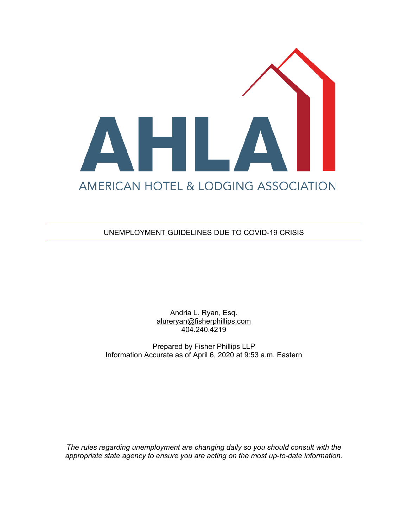

UNEMPLOYMENT GUIDELINES DUE TO COVID-19 CRISIS

Andria L. Ryan, Esq. [alureryan@fisherphillips.com](mailto:alureryan@fisherphillips.com) 404.240.4219

Prepared by Fisher Phillips LLP Information Accurate as of April 6, 2020 at 9:53 a.m. Eastern

*The rules regarding unemployment are changing daily so you should consult with the appropriate state agency to ensure you are acting on the most up-to-date information.*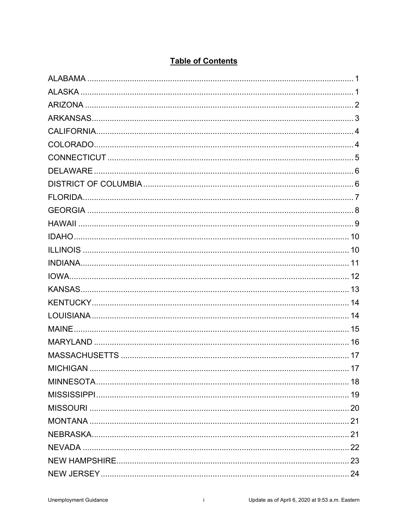| <b>DELAWARE</b> |  |
|-----------------|--|
|                 |  |
|                 |  |
|                 |  |
|                 |  |
|                 |  |
|                 |  |
|                 |  |
|                 |  |
|                 |  |
|                 |  |
|                 |  |
| MAINE.          |  |
|                 |  |
|                 |  |
|                 |  |
|                 |  |
|                 |  |
|                 |  |
|                 |  |
|                 |  |
|                 |  |
|                 |  |
|                 |  |

# **Table of Contents**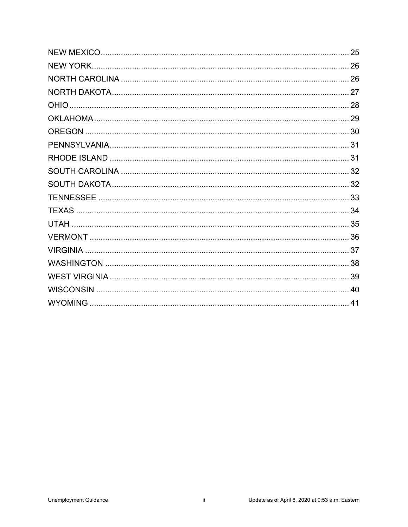| 25 |
|----|
|    |
|    |
|    |
|    |
|    |
|    |
|    |
|    |
|    |
|    |
|    |
|    |
|    |
|    |
|    |
|    |
|    |
|    |
|    |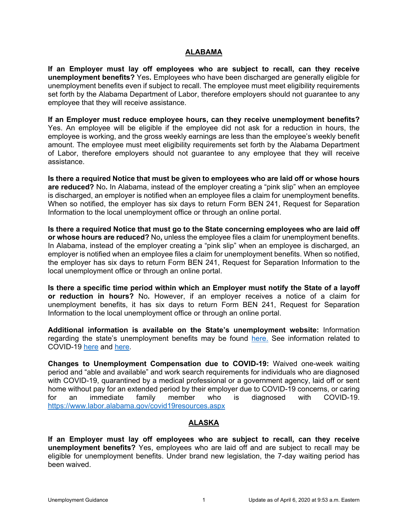### **ALABAMA**

<span id="page-3-0"></span>**If an Employer must lay off employees who are subject to recall, can they receive unemployment benefits?** Yes**.** Employees who have been discharged are generally eligible for unemployment benefits even if subject to recall. The employee must meet eligibility requirements set forth by the Alabama Department of Labor, therefore employers should not guarantee to any employee that they will receive assistance.

**If an Employer must reduce employee hours, can they receive unemployment benefits?**  Yes. An employee will be eligible if the employee did not ask for a reduction in hours, the employee is working, and the gross weekly earnings are less than the employee's weekly benefit amount. The employee must meet eligibility requirements set forth by the Alabama Department of Labor, therefore employers should not guarantee to any employee that they will receive assistance.

**Is there a required Notice that must be given to employees who are laid off or whose hours are reduced?** No**.** In Alabama, instead of the employer creating a "pink slip" when an employee is discharged, an employer is notified when an employee files a claim for unemployment benefits. When so notified, the employer has six days to return Form BEN 241, Request for Separation Information to the local unemployment office or through an online portal.

**Is there a required Notice that must go to the State concerning employees who are laid off or whose hours are reduced?** No**,** unless the employee files a claim for unemployment benefits. In Alabama, instead of the employer creating a "pink slip" when an employee is discharged, an employer is notified when an employee files a claim for unemployment benefits. When so notified, the employer has six days to return Form BEN 241, Request for Separation Information to the local unemployment office or through an online portal.

**Is there a specific time period within which an Employer must notify the State of a layoff or reduction in hours?** No**.** However, if an employer receives a notice of a claim for unemployment benefits, it has six days to return Form BEN 241, Request for Separation Information to the local unemployment office or through an online portal.

**Additional information is available on the State's unemployment website:** Information regarding the state's unemployment benefits may be found [here.](https://labor.alabama.gov/employers.aspx) See information related to COVID-19 [here](https://labor.alabama.gov/COVID/Coronavirus%20and%20Unemployment%20Insurance%20Benefits%20UPDATED%20FAQ.pdf) and [here.](https://labor.alabama.gov/covid19resources.aspx)

**Changes to Unemployment Compensation due to COVID-19:** Waived one-week waiting period and "able and available" and work search requirements for individuals who are diagnosed with COVID-19, quarantined by a medical professional or a government agency, laid off or sent home without pay for an extended period by their employer due to COVID-19 concerns, or caring for an immediate family member who is diagnosed with COVID-19. <https://www.labor.alabama.gov/covid19resources.aspx>

### **ALASKA**

<span id="page-3-1"></span>**If an Employer must lay off employees who are subject to recall, can they receive unemployment benefits?** Yes, employees who are laid off and are subject to recall may be eligible for unemployment benefits. Under brand new legislation, the 7-day waiting period has been waived.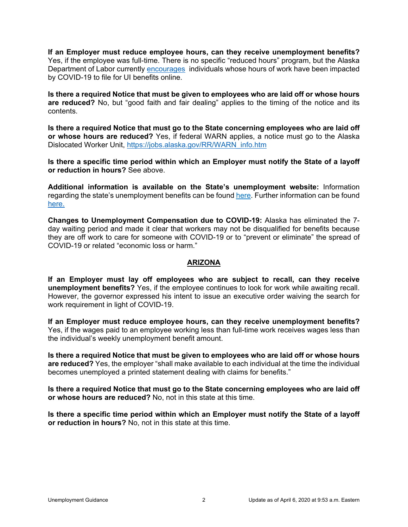**If an Employer must reduce employee hours, can they receive unemployment benefits?**  Yes, if the employee was full-time. There is no specific "reduced hours" program, but the Alaska Department of Labor currently [encourages](https://labor.alaska.gov/unemployment/COVID-19.htm) individuals whose hours of work have been impacted by COVID-19 to file for UI benefits online.

**Is there a required Notice that must be given to employees who are laid off or whose hours are reduced?** No, but "good faith and fair dealing" applies to the timing of the notice and its contents.

**Is there a required Notice that must go to the State concerning employees who are laid off or whose hours are reduced?** Yes, if federal WARN applies, a notice must go to the Alaska Dislocated Worker Unit, [https://jobs.alaska.gov/RR/WARN\\_info.htm](https://jobs.alaska.gov/RR/WARN_info.htm)

**Is there a specific time period within which an Employer must notify the State of a layoff or reduction in hours?** See above.

**Additional information is available on the State's unemployment website:** Information regarding the state's unemployment benefits can be found [here.](https://labor.alaska.gov/unemployment/faq.htm) Further information can be found [here.](https://labor.alaska.gov/estax/employer_packet.htm)

**Changes to Unemployment Compensation due to COVID-19:** Alaska has eliminated the 7 day waiting period and made it clear that workers may not be disqualified for benefits because they are off work to care for someone with COVID-19 or to "prevent or eliminate" the spread of COVID-19 or related "economic loss or harm."

#### **ARIZONA**

<span id="page-4-0"></span>**If an Employer must lay off employees who are subject to recall, can they receive unemployment benefits?** Yes, if the employee continues to look for work while awaiting recall. However, the governor expressed his intent to issue an executive order waiving the search for work requirement in light of COVID-19.

**If an Employer must reduce employee hours, can they receive unemployment benefits?**  Yes, if the wages paid to an employee working less than full-time work receives wages less than the individual's weekly unemployment benefit amount.

**Is there a required Notice that must be given to employees who are laid off or whose hours are reduced?** Yes, the employer "shall make available to each individual at the time the individual becomes unemployed a printed statement dealing with claims for benefits."

**Is there a required Notice that must go to the State concerning employees who are laid off or whose hours are reduced?** No, not in this state at this time.

**Is there a specific time period within which an Employer must notify the State of a layoff or reduction in hours?** No, not in this state at this time.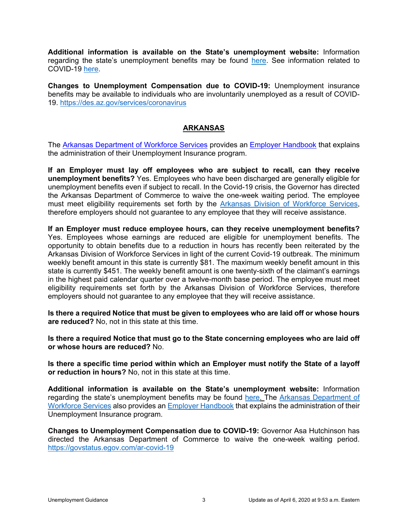**Additional information is available on the State's unemployment website:** Information regarding the state's unemployment benefits may be found [here.](https://des.az.gov/services/employment/unemployment-individual/apply-ui-benefits) See information related to COVID-19 [here.](https://des.az.gov/services/coronavirus)

**Changes to Unemployment Compensation due to COVID-19:** Unemployment insurance benefits may be available to individuals who are involuntarily unemployed as a result of COVID-19.<https://des.az.gov/services/coronavirus>

### **ARKANSAS**

<span id="page-5-0"></span>The [Arkansas Department of Workforce Services](https://www.dws.arkansas.gov/dislocated-worker-task-force/) provides an [Employer Handbook](https://www.dws.arkansas.gov/src/files/UI-Employer-Handbook-20170824.pdf) that explains the administration of their Unemployment Insurance program.

**If an Employer must lay off employees who are subject to recall, can they receive unemployment benefits?** Yes. Employees who have been discharged are generally eligible for unemployment benefits even if subject to recall. In the Covid-19 crisis, the Governor has directed the Arkansas Department of Commerce to waive the one-week waiting period. The employee must meet eligibility requirements set forth by the [Arkansas Division of Workforce Services,](https://www.dws.arkansas.gov/dislocated-worker-task-force/) therefore employers should not guarantee to any employee that they will receive assistance.

**If an Employer must reduce employee hours, can they receive unemployment benefits?**  Yes. Employees whose earnings are reduced are eligible for unemployment benefits. The opportunity to obtain benefits due to a reduction in hours has recently been reiterated by the Arkansas Division of Workforce Services in light of the current Covid-19 outbreak. The minimum weekly benefit amount in this state is currently \$81. The maximum weekly benefit amount in this state is currently \$451. The weekly benefit amount is one twenty-sixth of the claimant's earnings in the highest paid calendar quarter over a twelve-month base period. The employee must meet eligibility requirements set forth by the Arkansas Division of Workforce Services, therefore employers should not guarantee to any employee that they will receive assistance.

**Is there a required Notice that must be given to employees who are laid off or whose hours are reduced?** No, not in this state at this time.

**Is there a required Notice that must go to the State concerning employees who are laid off or whose hours are reduced?** No.

**Is there a specific time period within which an Employer must notify the State of a layoff or reduction in hours?** No, not in this state at this time.

**Additional information is available on the State's unemployment website:** Information regarding the state's unemployment benefits may be found [here.](https://www.dws.arkansas.gov/unemployment/) The Arkansas Department of [Workforce Services](https://www.dws.arkansas.gov/employers/) also provides an [Employer Handbook](https://www.dws.arkansas.gov/src/files/UI-Employer-Handbook-20170824.pdf) that explains the administration of their Unemployment Insurance program.

**Changes to Unemployment Compensation due to COVID-19:** Governor Asa Hutchinson has directed the Arkansas Department of Commerce to waive the one-week waiting period. <https://govstatus.egov.com/ar-covid-19>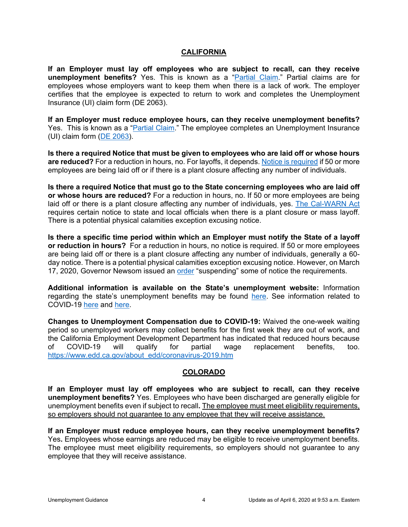### **CALIFORNIA**

<span id="page-6-0"></span>**If an Employer must lay off employees who are subject to recall, can they receive unemployment benefits?** Yes. This is known as a ["Partial Claim.](https://www.edd.ca.gov/unemployment/Partial_Claims.htm)" Partial claims are for employees whose employers want to keep them when there is a lack of work. The employer certifies that the employee is expected to return to work and completes the Unemployment Insurance (UI) claim form (DE 2063).

**If an Employer must reduce employee hours, can they receive unemployment benefits?**  Yes. This is known as a ["Partial Claim.](https://www.edd.ca.gov/unemployment/Partial_Claims.htm)" The employee completes an Unemployment Insurance (UI) claim form [\(DE 2063\)](https://www.edd.ca.gov/pdf_pub_ctr/de2063.pdf).

**Is there a required Notice that must be given to employees who are laid off or whose hours are reduced?** For a reduction in hours, no. For layoffs, it depends. [Notice is required](https://www.edd.ca.gov/Jobs_and_Training/Layoff_Services_WARN.htm) if 50 or more employees are being laid off or if there is a plant closure affecting any number of individuals.

**Is there a required Notice that must go to the State concerning employees who are laid off or whose hours are reduced?** For a reduction in hours, no. If 50 or more employees are being laid off or there is a plant closure affecting any number of individuals, yes. [The Cal-WARN Act](https://www.edd.ca.gov/Jobs_and_Training/Layoff_Services_WARN.htm) requires certain notice to state and local officials when there is a plant closure or mass layoff. There is a potential physical calamities exception excusing notice.

**Is there a specific time period within which an Employer must notify the State of a layoff or reduction in hours?** For a reduction in hours, no notice is required. If 50 or more employees are being laid off or there is a plant closure affecting any number of individuals, generally a 60 day notice. There is a potential physical calamities exception excusing notice. However, on March 17, 2020, Governor Newsom issued an [order](https://www.gov.ca.gov/wp-content/uploads/2020/03/3.17.20-EO-motor.pdf) "suspending" some of notice the requirements.

**Additional information is available on the State's unemployment website:** Information regarding the state's unemployment benefits may be found [here.](https://www.edd.ca.gov/unemployment/Employer_Information.htm) See information related to COVID-19 [here](https://www.labor.ca.gov/coronavirus2019/#chart) and [here.](https://www.edd.ca.gov/about_edd/coronavirus-2019.htm)

**Changes to Unemployment Compensation due to COVID-19:** Waived the one-week waiting period so unemployed workers may collect benefits for the first week they are out of work, and the California Employment Development Department has indicated that reduced hours because of COVID-19 will qualify for partial wage replacement benefits, too. [https://www.edd.ca.gov/about\\_edd/coronavirus-2019.htm](https://www.edd.ca.gov/about_edd/coronavirus-2019.htm)

### **COLORADO**

<span id="page-6-1"></span>**If an Employer must lay off employees who are subject to recall, can they receive unemployment benefits?** Yes. Employees who have been discharged are generally eligible for unemployment benefits even if subject to recall**.** The employee must meet eligibility requirements, so employers should not guarantee to any employee that they will receive assistance.

**If an Employer must reduce employee hours, can they receive unemployment benefits?**  Yes**.** Employees whose earnings are reduced may be eligible to receive unemployment benefits. The employee must meet eligibility requirements, so employers should not guarantee to any employee that they will receive assistance.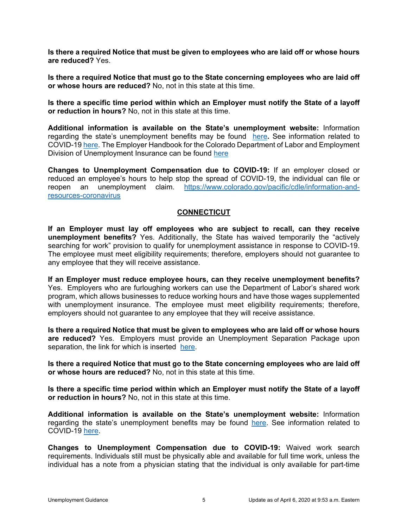**Is there a required Notice that must be given to employees who are laid off or whose hours are reduced?** Yes.

**Is there a required Notice that must go to the State concerning employees who are laid off or whose hours are reduced?** No, not in this state at this time.

**Is there a specific time period within which an Employer must notify the State of a layoff or reduction in hours?** No, not in this state at this time.

**Additional information is available on the State's unemployment website:** Information regarding the state's unemployment benefits may be found [here](https://www.colorado.gov/pacific/cdle/employer-services)**.** See information related to COVID-19 [here.](https://www.colorado.gov/pacific/cdle/unemployment-insurance-worker-faqs) The Employer Handbook for the Colorado Department of Labor and Employment Division of Unemployment Insurance can be found [here](https://www.colorado.gov/pacific/sites/default/files/Employer_Guide.pdf)

**Changes to Unemployment Compensation due to COVID-19:** If an employer closed or reduced an employee's hours to help stop the spread of COVID-19, the individual can file or reopen an unemployment claim. [https://www.colorado.gov/pacific/cdle/information-and](https://www.colorado.gov/pacific/cdle/information-and-resources-coronavirus)[resources-coronavirus](https://www.colorado.gov/pacific/cdle/information-and-resources-coronavirus)

### **CONNECTICUT**

<span id="page-7-0"></span>**If an Employer must lay off employees who are subject to recall, can they receive unemployment benefits?** Yes. Additionally, the State has waived temporarily the "actively searching for work" provision to qualify for unemployment assistance in response to COVID-19. The employee must meet eligibility requirements; therefore, employers should not guarantee to any employee that they will receive assistance.

**If an Employer must reduce employee hours, can they receive unemployment benefits?**  Yes. Employers who are furloughing workers can use the Department of Labor's shared work program, which allows businesses to reduce working hours and have those wages supplemented with unemployment insurance. The employee must meet eligibility requirements; therefore, employers should not guarantee to any employee that they will receive assistance.

**Is there a required Notice that must be given to employees who are laid off or whose hours are reduced?** Yes. Employers must provide an Unemployment Separation Package upon separation, the link for which is inserted [here.](http://www.ctdol.state.ct.us/HP/UC-61Fillable.pdf)

**Is there a required Notice that must go to the State concerning employees who are laid off or whose hours are reduced?** No, not in this state at this time.

**Is there a specific time period within which an Employer must notify the State of a layoff or reduction in hours?** No, not in this state at this time.

**Additional information is available on the State's unemployment website:** Information regarding the state's unemployment benefits may be found [here.](https://www.ctdol.state.ct.us/uitax/web-report.html) See information related to COVID-19 [here.](https://www.ctdol.state.ct.us/DOLCOVIDFAQ.PDF)

**Changes to Unemployment Compensation due to COVID-19:** Waived work search requirements. Individuals still must be physically able and available for full time work, unless the individual has a note from a physician stating that the individual is only available for part-time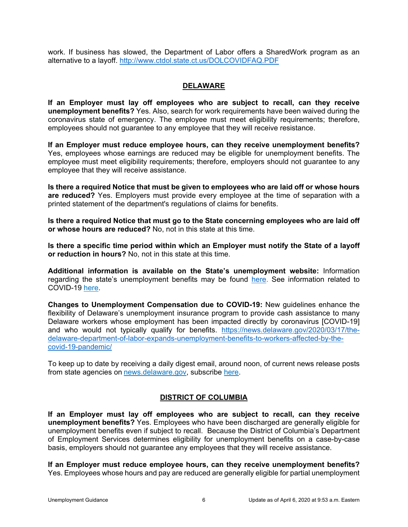work. If business has slowed, the Department of Labor offers a SharedWork program as an alternative to a layoff.<http://www.ctdol.state.ct.us/DOLCOVIDFAQ.PDF>

### **DELAWARE**

<span id="page-8-0"></span>**If an Employer must lay off employees who are subject to recall, can they receive unemployment benefits?** Yes. Also, search for work requirements have been waived during the coronavirus state of emergency. The employee must meet eligibility requirements; therefore, employees should not guarantee to any employee that they will receive resistance.

**If an Employer must reduce employee hours, can they receive unemployment benefits?**  Yes, employees whose earnings are reduced may be eligible for unemployment benefits. The employee must meet eligibility requirements; therefore, employers should not guarantee to any employee that they will receive assistance.

**Is there a required Notice that must be given to employees who are laid off or whose hours are reduced?** Yes. Employers must provide every employee at the time of separation with a printed statement of the department's regulations of claims for benefits.

**Is there a required Notice that must go to the State concerning employees who are laid off or whose hours are reduced?** No, not in this state at this time.

**Is there a specific time period within which an Employer must notify the State of a layoff or reduction in hours?** No, not in this state at this time.

**Additional information is available on the State's unemployment website:** Information regarding the state's unemployment benefits may be found [here.](https://ui.delawareworks.com/employer-services.php) See information related to COVID-19 here.

**Changes to Unemployment Compensation due to COVID-19:** New guidelines enhance the flexibility of Delaware's unemployment insurance program to provide cash assistance to many Delaware workers whose employment has been impacted directly by coronavirus [COVID-19] and who would not typically qualify for benefits. [https://news.delaware.gov/2020/03/17/the](https://news.delaware.gov/2020/03/17/the-delaware-department-of-labor-expands-unemployment-benefits-to-workers-affected-by-the-covid-19-pandemic/)[delaware-department-of-labor-expands-unemployment-benefits-to-workers-affected-by-the](https://news.delaware.gov/2020/03/17/the-delaware-department-of-labor-expands-unemployment-benefits-to-workers-affected-by-the-covid-19-pandemic/)[covid-19-pandemic/](https://news.delaware.gov/2020/03/17/the-delaware-department-of-labor-expands-unemployment-benefits-to-workers-affected-by-the-covid-19-pandemic/)

To keep up to date by receiving a daily digest email, around noon, of current news release posts from state agencies on [news.delaware.gov,](https://news.delaware.gov/subscribe/) subscribe [here.](https://news.delaware.gov/subscribe/)

### **DISTRICT OF COLUMBIA**

<span id="page-8-1"></span>**If an Employer must lay off employees who are subject to recall, can they receive unemployment benefits?** Yes. Employees who have been discharged are generally eligible for unemployment benefits even if subject to recall. Because the District of Columbia's Department of Employment Services determines eligibility for unemployment benefits on a case-by-case basis, employers should not guarantee any employees that they will receive assistance.

**If an Employer must reduce employee hours, can they receive unemployment benefits?**  Yes. Employees whose hours and pay are reduced are generally eligible for partial unemployment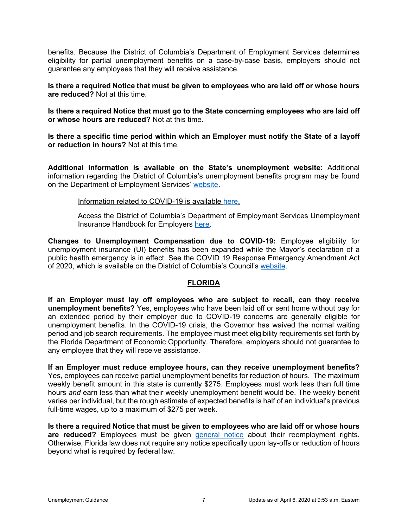benefits. Because the District of Columbia's Department of Employment Services determines eligibility for partial unemployment benefits on a case-by-case basis, employers should not guarantee any employees that they will receive assistance.

**Is there a required Notice that must be given to employees who are laid off or whose hours are reduced?** Not at this time.

**Is there a required Notice that must go to the State concerning employees who are laid off or whose hours are reduced?** Not at this time.

**Is there a specific time period within which an Employer must notify the State of a layoff or reduction in hours?** Not at this time.

**Additional information is available on the State's unemployment website:** Additional information regarding the District of Columbia's unemployment benefits program may be found on the Department of Employment Services' [website.](https://does.dc.gov/service/employer-tax-information-unemployment-insurance)

#### Information related to COVID-19 is available [here.](https://does.dc.gov/sites/default/files/dc/sites/does/publication/attachments/COVID19_DOES_Scenarios.pdf)

Access the District of Columbia's Department of Employment Services Unemployment Insurance Handbook for Employers [here.](https://dhcf.dc.gov/sites/default/files/dc/sites/does/publication/attachments/UI%20Employer%20Handbook.pdf)

**Changes to Unemployment Compensation due to COVID-19:** Employee eligibility for unemployment insurance (UI) benefits has been expanded while the Mayor's declaration of a public health emergency is in effect. See the COVID 19 Response Emergency Amendment Act of 2020, which is available on the District of Columbia's Council's [website.](https://dccouncil.us/covid-19-response-emergency-amendment-act-of-2020/)

### **FLORIDA**

<span id="page-9-0"></span>**If an Employer must lay off employees who are subject to recall, can they receive unemployment benefits?** Yes, employees who have been laid off or sent home without pay for an extended period by their employer due to COVID-19 concerns are generally eligible for unemployment benefits. In the COVID-19 crisis, the Governor has waived the normal waiting period and job search requirements. The employee must meet eligibility requirements set forth by the Florida Department of Economic Opportunity. Therefore, employers should not guarantee to any employee that they will receive assistance.

#### **If an Employer must reduce employee hours, can they receive unemployment benefits?**

Yes, employees can receive partial unemployment benefits for reduction of hours. The maximum weekly benefit amount in this state is currently \$275. Employees must work less than full time hours *and* earn less than what their weekly unemployment benefit would be. The weekly benefit varies per individual, but the rough estimate of expected benefits is half of an individual's previous full-time wages, up to a maximum of \$275 per week.

**Is there a required Notice that must be given to employees who are laid off or whose hours are reduced?** Employees must be given [general notice](https://floridarevenue.com/Forms_library/current/rt83.pdf) about their reemployment rights. Otherwise, Florida law does not require any notice specifically upon lay-offs or reduction of hours beyond what is required by federal law.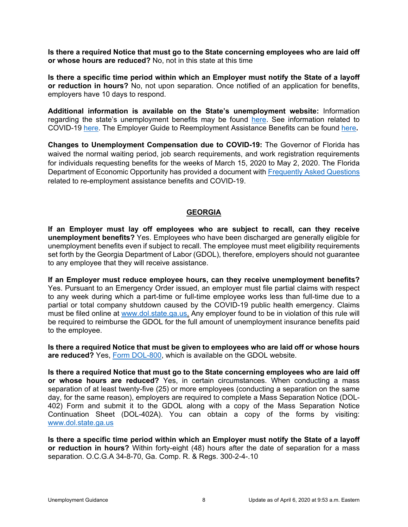**Is there a required Notice that must go to the State concerning employees who are laid off or whose hours are reduced?** No, not in this state at this time

**Is there a specific time period within which an Employer must notify the State of a layoff or reduction in hours?** No, not upon separation. Once notified of an application for benefits, employers have 10 days to respond.

**Additional information is available on the State's unemployment website:** Information regarding the state's unemployment benefits may be found [here.](http://www.floridajobs.org/Reemployment-Assistance-Service-Center/reemployment-assistance/employers) See information related to COVID-19 [here.](http://www.floridajobs.org/docs/default-source/ra-dua-documentation/dua-faqs-3-17-20-updates.pdf?sfvrsn=805543b0_4) The Employer Guide to Reemployment Assistance Benefits can be found [here](https://floridarevenue.com/forms_library/current/rt800001.pdf)**.**

**Changes to Unemployment Compensation due to COVID-19:** The Governor of Florida has waived the normal waiting period, job search requirements, and work registration requirements for individuals requesting benefits for the weeks of March 15, 2020 to May 2, 2020. The Florida Department of Economic Opportunity has provided a document with [Frequently Asked Questions](http://www.floridajobs.org/docs/default-source/reemployment-assistance-center/ra-covid-19-faqs-eng.pdf?sfvrsn=805543b0_14) related to re-employment assistance benefits and COVID-19.

#### **GEORGIA**

<span id="page-10-0"></span>**If an Employer must lay off employees who are subject to recall, can they receive unemployment benefits?** Yes. Employees who have been discharged are generally eligible for unemployment benefits even if subject to recall. The employee must meet eligibility requirements set forth by the Georgia Department of Labor (GDOL), therefore, employers should not guarantee to any employee that they will receive assistance.

**If an Employer must reduce employee hours, can they receive unemployment benefits?**  Yes. Pursuant to an Emergency Order issued, an employer must file partial claims with respect to any week during which a part-time or full-time employee works less than full-time due to a partial or total company shutdown caused by the COVID-19 public health emergency. Claims must be filed online at [www.dol.state.ga.us.](http://www.dol.state.ga.us/) Any employer found to be in violation of this rule will be required to reimburse the GDOL for the full amount of unemployment insurance benefits paid to the employee.

**Is there a required Notice that must be given to employees who are laid off or whose hours are reduced?** Yes, [Form DOL-800,](https://dol.georgia.gov/documents/separation-notice-individual-interactive-dol-800) which is available on the GDOL website.

**Is there a required Notice that must go to the State concerning employees who are laid off or whose hours are reduced?** Yes, in certain circumstances. When conducting a mass separation of at least twenty-five (25) or more employees (conducting a separation on the same day, for the same reason), employers are required to complete a Mass Separation Notice (DOL-402) Form and submit it to the GDOL along with a copy of the Mass Separation Notice Continuation Sheet (DOL-402A). You can obtain a copy of the forms by visiting: [www.dol.state.ga.us](http://www.dol.state.ga.us/)

**Is there a specific time period within which an Employer must notify the State of a layoff or reduction in hours?** Within forty-eight (48) hours after the date of separation for a mass separation. O.C.G.A 34-8-70, Ga. Comp. R. & Regs. 300-2-4-.10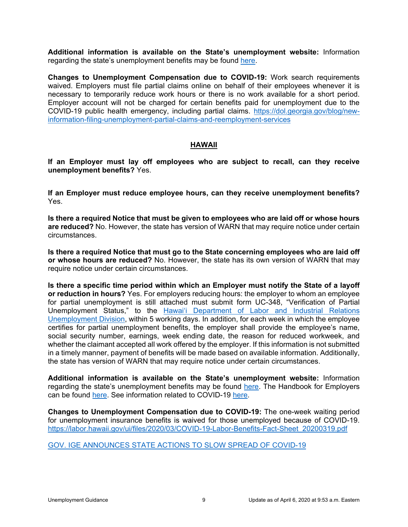**Additional information is available on the State's unemployment website:** Information regarding the state's unemployment benefits may be found [here.](https://dol.georgia.gov/employers/taxes-unemployment-insurance-claims)

**Changes to Unemployment Compensation due to COVID-19:** Work search requirements waived. Employers must file partial claims online on behalf of their employees whenever it is necessary to temporarily reduce work hours or there is no work available for a short period. Employer account will not be charged for certain benefits paid for unemployment due to the COVID-19 public health emergency, including partial claims. [https://dol.georgia.gov/blog/new](https://dol.georgia.gov/blog/new-information-filing-unemployment-partial-claims-and-reemployment-services)[information-filing-unemployment-partial-claims-and-reemployment-services](https://dol.georgia.gov/blog/new-information-filing-unemployment-partial-claims-and-reemployment-services)

### **HAWAII**

<span id="page-11-0"></span>**If an Employer must lay off employees who are subject to recall, can they receive unemployment benefits?** Yes.

**If an Employer must reduce employee hours, can they receive unemployment benefits?**  Yes.

**Is there a required Notice that must be given to employees who are laid off or whose hours are reduced?** No. However, the state has version of WARN that may require notice under certain circumstances.

**Is there a required Notice that must go to the State concerning employees who are laid off or whose hours are reduced?** No. However, the state has its own version of WARN that may require notice under certain circumstances.

**Is there a specific time period within which an Employer must notify the State of a layoff or reduction in hours?** Yes. For employers reducing hours: the employer to whom an employee for partial unemployment is still attached must submit form UC-348, "Verification of Partial Unemployment Status," to the **Hawai'i Department of Labor and Industrial Relations** [Unemployment Division,](https://labor.hawaii.gov/ui/) within 5 working days. In addition, for each week in which the employee certifies for partial unemployment benefits, the employer shall provide the employee's name, social security number, earnings, week ending date, the reason for reduced workweek, and whether the claimant accepted all work offered by the employer. If this information is not submitted in a timely manner, payment of benefits will be made based on available information. Additionally, the state has version of WARN that may require notice under certain circumstances.

**Additional information is available on the State's unemployment website:** Information regarding the state's unemployment benefits may be found [here.](https://labor.hawaii.gov/ui/) The Handbook for Employers can be found [here.](https://labor.hawaii.gov/ui/test-handbook-for-employers/) See information related to COVID-19 [here.](https://governor.hawaii.gov/newsroom/latest-news/proper-use-of-covid-19-tests-imperative-there-is-a-current-shortage-of-hand-sanitizers-and-toilet-paper-in-hawaii-in-part-because-of-the-publics-over-reaction-to-covid-19-the-hawai/)

**Changes to Unemployment Compensation due to COVID-19:** The one-week waiting period for unemployment insurance benefits is waived for those unemployed because of COVID-19. [https://labor.hawaii.gov/ui/files/2020/03/COVID-19-Labor-Benefits-Fact-Sheet\\_20200319.pdf](https://labor.hawaii.gov/ui/files/2020/03/COVID-19-Labor-Benefits-Fact-Sheet_20200319.pdf)

[GOV. IGE ANNOUNCES STATE ACTIONS TO SLOW SPREAD OF COVID-19](https://governor.hawaii.gov/newsroom/latest-news/proper-use-of-covid-19-tests-imperative-there-is-a-current-shortage-of-hand-sanitizers-and-toilet-paper-in-hawaii-in-part-because-of-the-publics-over-reaction-to-covid-19-the-hawai/)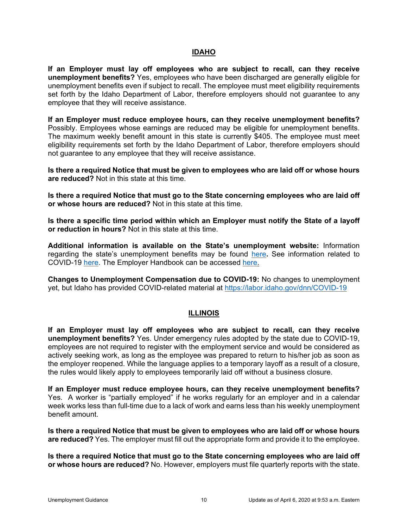### **IDAHO**

<span id="page-12-0"></span>**If an Employer must lay off employees who are subject to recall, can they receive unemployment benefits?** Yes, employees who have been discharged are generally eligible for unemployment benefits even if subject to recall. The employee must meet eligibility requirements set forth by the Idaho Department of Labor, therefore employers should not guarantee to any employee that they will receive assistance.

**If an Employer must reduce employee hours, can they receive unemployment benefits?**  Possibly. Employees whose earnings are reduced may be eligible for unemployment benefits. The maximum weekly benefit amount in this state is currently \$405. The employee must meet eligibility requirements set forth by the Idaho Department of Labor, therefore employers should not guarantee to any employee that they will receive assistance.

**Is there a required Notice that must be given to employees who are laid off or whose hours are reduced?** Not in this state at this time.

**Is there a required Notice that must go to the State concerning employees who are laid off or whose hours are reduced?** Not in this state at this time.

**Is there a specific time period within which an Employer must notify the State of a layoff or reduction in hours?** Not in this state at this time.

**Additional information is available on the State's unemployment website:** Information regarding the state's unemployment benefits may be found [here](https://www.labor.idaho.gov/dnn/Businesses/Help-with-Unemployment-Tax)**.** See information related to COVID-19 [here.](https://idahoatwork.com/2020/03/18/faqs-about-unemployment-insurance-and-covid-19/) The Employer Handbook can be accessed [here.](https://www.labor.idaho.gov/dnn/Portals/0/Publications/UI_TAX_Information.pdf)

**Changes to Unemployment Compensation due to COVID-19:** No changes to unemployment yet, but Idaho has provided COVID-related material at<https://labor.idaho.gov/dnn/COVID-19>

### **ILLINOIS**

<span id="page-12-1"></span>**If an Employer must lay off employees who are subject to recall, can they receive unemployment benefits?** Yes. Under emergency rules adopted by the state due to COVID-19, employees are not required to register with the employment service and would be considered as actively seeking work, as long as the employee was prepared to return to his/her job as soon as the employer reopened. While the language applies to a temporary layoff as a result of a closure, the rules would likely apply to employees temporarily laid off without a business closure.

**If an Employer must reduce employee hours, can they receive unemployment benefits?**  Yes. A worker is "partially employed" if he works regularly for an employer and in a calendar week works less than full-time due to a lack of work and earns less than his weekly unemployment benefit amount.

**Is there a required Notice that must be given to employees who are laid off or whose hours are reduced?** Yes. The employer must fill out the appropriate form and provide it to the employee.

**Is there a required Notice that must go to the State concerning employees who are laid off or whose hours are reduced?** No. However, employers must file quarterly reports with the state.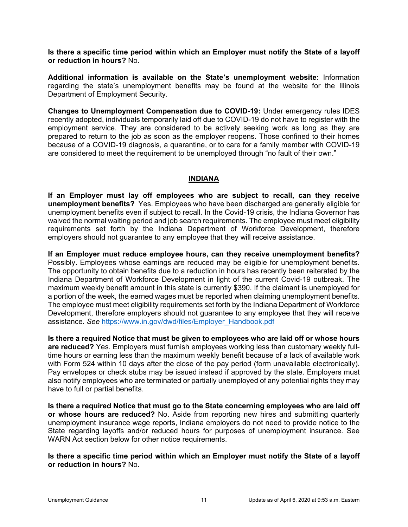**Is there a specific time period within which an Employer must notify the State of a layoff or reduction in hours?** No.

**Additional information is available on the State's unemployment website:** Information regarding the state's unemployment benefits may be found at the website for the Illinois Department of Employment Security.

**Changes to Unemployment Compensation due to COVID-19:** Under emergency rules IDES recently adopted, individuals temporarily laid off due to COVID-19 do not have to register with the employment service. They are considered to be actively seeking work as long as they are prepared to return to the job as soon as the employer reopens. Those confined to their homes because of a COVID-19 diagnosis, a quarantine, or to care for a family member with COVID-19 are considered to meet the requirement to be unemployed through "no fault of their own."

### **INDIANA**

<span id="page-13-0"></span>**If an Employer must lay off employees who are subject to recall, can they receive unemployment benefits?** Yes. Employees who have been discharged are generally eligible for unemployment benefits even if subject to recall. In the Covid-19 crisis, the Indiana Governor has waived the normal waiting period and job search requirements. The employee must meet eligibility requirements set forth by the Indiana Department of Workforce Development, therefore employers should not guarantee to any employee that they will receive assistance.

**If an Employer must reduce employee hours, can they receive unemployment benefits?**  Possibly. Employees whose earnings are reduced may be eligible for unemployment benefits. The opportunity to obtain benefits due to a reduction in hours has recently been reiterated by the Indiana Department of Workforce Development in light of the current Covid-19 outbreak. The maximum weekly benefit amount in this state is currently \$390. If the claimant is unemployed for a portion of the week, the earned wages must be reported when claiming unemployment benefits. The employee must meet eligibility requirements set forth by the Indiana Department of Workforce Development, therefore employers should not guarantee to any employee that they will receive assistance. *See* [https://www.in.gov/dwd/files/Employer\\_Handbook.pdf](https://www.in.gov/dwd/files/Employer_Handbook.pdf)

**Is there a required Notice that must be given to employees who are laid off or whose hours are reduced?** Yes. Employers must furnish employees working less than customary weekly fulltime hours or earning less than the maximum weekly benefit because of a lack of available work with Form 524 within 10 days after the close of the pay period (form unavailable electronically). Pay envelopes or check stubs may be issued instead if approved by the state. Employers must also notify employees who are terminated or partially unemployed of any potential rights they may have to full or partial benefits.

**Is there a required Notice that must go to the State concerning employees who are laid off or whose hours are reduced?** No. Aside from reporting new hires and submitting quarterly unemployment insurance wage reports, Indiana employers do not need to provide notice to the State regarding layoffs and/or reduced hours for purposes of unemployment insurance. See WARN Act section below for other notice requirements.

**Is there a specific time period within which an Employer must notify the State of a layoff or reduction in hours?** No.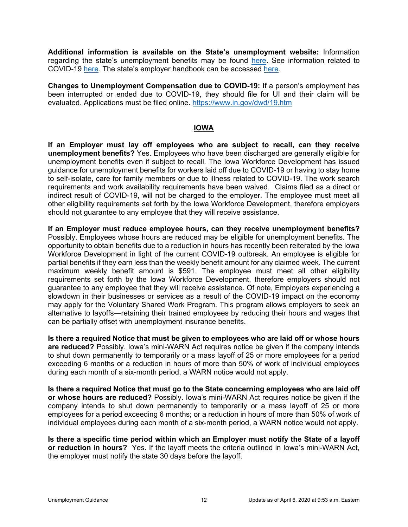**Additional information is available on the State's unemployment website:** Information regarding the state's unemployment benefits may be found [here.](https://www.in.gov/dwd/3550.htm) See information related to COVID-19 [here.](https://www.in.gov/dwd/files/Indiana_Unemployment_FAQ.pdf) The state's employer handbook can be accessed [here.](http://www.in.gov/dwd/files/Employer_Handbook.pdf)

**Changes to Unemployment Compensation due to COVID-19:** If a person's employment has been interrupted or ended due to COVID-19, they should file for UI and their claim will be evaluated. Applications must be filed online.<https://www.in.gov/dwd/19.htm>

### **IOWA**

<span id="page-14-0"></span>**If an Employer must lay off employees who are subject to recall, can they receive unemployment benefits?** Yes. Employees who have been discharged are generally eligible for unemployment benefits even if subject to recall. The Iowa Workforce Development has issued guidance for unemployment benefits for workers laid off due to COVID-19 or having to stay home to self-isolate, care for family members or due to illness related to COVID-19. The work search requirements and work availability requirements have been waived. Claims filed as a direct or indirect result of COVID-19, will not be charged to the employer. The employee must meet all other eligibility requirements set forth by the Iowa Workforce Development, therefore employers should not guarantee to any employee that they will receive assistance.

**If an Employer must reduce employee hours, can they receive unemployment benefits?**  Possibly. Employees whose hours are reduced may be eligible for unemployment benefits. The opportunity to obtain benefits due to a reduction in hours has recently been reiterated by the Iowa Workforce Development in light of the current COVID-19 outbreak. An employee is eligible for partial benefits if they earn less than the weekly benefit amount for any claimed week. The current maximum weekly benefit amount is \$591. The employee must meet all other eligibility requirements set forth by the Iowa Workforce Development, therefore employers should not guarantee to any employee that they will receive assistance. Of note, Employers experiencing a slowdown in their businesses or services as a result of the COVID-19 impact on the economy may apply for the Voluntary Shared Work Program. This program allows employers to seek an alternative to layoffs—retaining their trained employees by reducing their hours and wages that can be partially offset with unemployment insurance benefits.

**Is there a required Notice that must be given to employees who are laid off or whose hours are reduced?** Possibly. Iowa's mini-WARN Act requires notice be given if the company intends to shut down permanently to temporarily or a mass layoff of 25 or more employees for a period exceeding 6 months or a reduction in hours of more than 50% of work of individual employees during each month of a six-month period, a WARN notice would not apply.

**Is there a required Notice that must go to the State concerning employees who are laid off or whose hours are reduced?** Possibly. Iowa's mini-WARN Act requires notice be given if the company intends to shut down permanently to temporarily or a mass layoff of 25 or more employees for a period exceeding 6 months; or a reduction in hours of more than 50% of work of individual employees during each month of a six-month period, a WARN notice would not apply.

**Is there a specific time period within which an Employer must notify the State of a layoff or reduction in hours?** Yes. If the layoff meets the criteria outlined in Iowa's mini-WARN Act, the employer must notify the state 30 days before the layoff.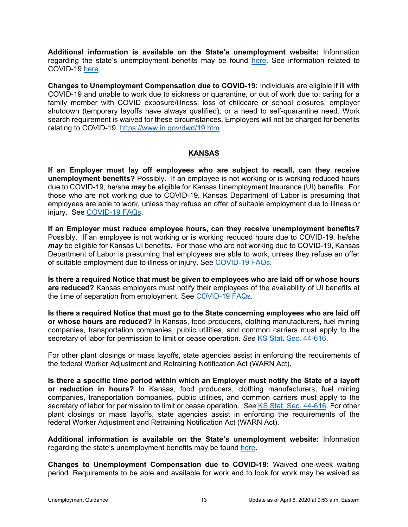**Additional information is available on the State's unemployment website:** Information regarding the state's unemployment benefits may be found [here.](https://www.iowaworkforcedevelopment.gov/business) See information related to COVID-19 [here.](https://www.iowaworkforcedevelopment.gov/updates-and-resources-about-covid-19)

**Changes to Unemployment Compensation due to COVID-19:** Individuals are eligible if ill with COVID-19 and unable to work due to sickness or quarantine, or out of work due to: caring for a family member with COVID exposure/illness; loss of childcare or school closures; employer shutdown (temporary layoffs have always qualified), or a need to self-quarantine need. Work search requirement is waived for these circumstances. Employers will not be charged for benefits relating to COVID-19.<https://www.in.gov/dwd/19.htm>

### **KANSAS**

<span id="page-15-0"></span>**If an Employer must lay off employees who are subject to recall, can they receive unemployment benefits?** Possibly. If an employee is not working or is working reduced hours due to COVID-19, he/she *may* be eligible for Kansas Unemployment Insurance (UI) benefits. For those who are not working due to COVID-19, Kansas Department of Labor is presuming that employees are able to work, unless they refuse an offer of suitable employment due to illness or injury. See [COVID-19 FAQs.](https://www.dol.ks.gov/docs/default-source/default-document-library/ui-covid19-faqs.pdf)

**If an Employer must reduce employee hours, can they receive unemployment benefits?**  Possibly. If an employee is not working or is working reduced hours due to COVID-19, he/she *may* be eligible for Kansas UI benefits. For those who are not working due to COVID-19, Kansas Department of Labor is presuming that employees are able to work, unless they refuse an offer of suitable employment due to illness or injury. See [COVID-19 FAQs.](https://www.dol.ks.gov/docs/default-source/default-document-library/ui-covid19-faqs.pdf)

**Is there a required Notice that must be given to employees who are laid off or whose hours are reduced?** Kansas employers must notify their employees of the availability of UI benefits at the time of separation from employment. See [COVID-19 FAQs.](https://www.dol.ks.gov/docs/default-source/default-document-library/ui-covid19-faqs.pdf)

**Is there a required Notice that must go to the State concerning employees who are laid off or whose hours are reduced?** In Kansas, food producers, clothing manufacturers, fuel mining companies, transportation companies, public utilities, and common carriers must apply to the secretary of labor for permission to limit or cease operation. *See* [KS Stat. Sec. 44-616.](https://www.ksrevisor.org/statutes/chapters/ch44/044_006_0016.html)

For other plant closings or mass layoffs, state agencies assist in enforcing the requirements of the federal Worker Adjustment and Retraining Notification Act (WARN Act).

**Is there a specific time period within which an Employer must notify the State of a layoff or reduction in hours?** In Kansas, food producers, clothing manufacturers, fuel mining companies, transportation companies, public utilities, and common carriers must apply to the secretary of labor for permission to limit or cease operation. *See* [KS Stat. Sec. 44-616.](https://www.ksrevisor.org/statutes/chapters/ch44/044_006_0016.html) For other plant closings or mass layoffs, state agencies assist in enforcing the requirements of the federal Worker Adjustment and Retraining Notification Act (WARN Act).

**Additional information is available on the State's unemployment website:** Information regarding the state's unemployment benefits may be found [here.](https://www.getkansasbenefits.gov/Home.aspx)

**Changes to Unemployment Compensation due to COVID-19:** Waived one-week waiting period. Requirements to be able and available for work and to look for work may be waived as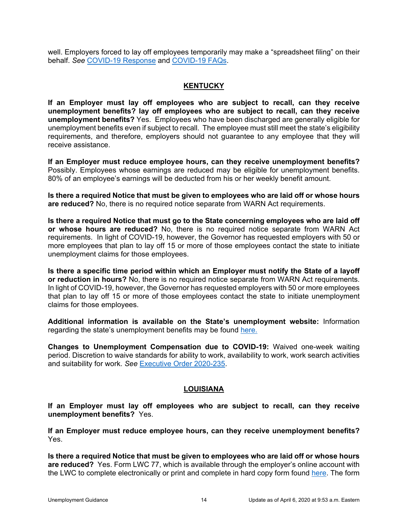well. Employers forced to lay off employees temporarily may make a "spreadsheet filing" on their behalf. *See* [COVID-19 Response](https://www.dol.ks.gov/covid19response) and [COVID-19 FAQs.](https://www.dol.ks.gov/docs/default-source/default-document-library/ui-covid19-faqs.pdf?sfvrsn=3b4c881f_12)

### **KENTUCKY**

<span id="page-16-0"></span>**If an Employer must lay off employees who are subject to recall, can they receive unemployment benefits? lay off employees who are subject to recall, can they receive unemployment benefits?** Yes. Employees who have been discharged are generally eligible for unemployment benefits even if subject to recall. The employee must still meet the state's eligibility requirements, and therefore, employers should not guarantee to any employee that they will receive assistance.

**If an Employer must reduce employee hours, can they receive unemployment benefits?**  Possibly. Employees whose earnings are reduced may be eligible for unemployment benefits. 80% of an employee's earnings will be deducted from his or her weekly benefit amount.

**Is there a required Notice that must be given to employees who are laid off or whose hours are reduced?** No, there is no required notice separate from WARN Act requirements.

**Is there a required Notice that must go to the State concerning employees who are laid off or whose hours are reduced?** No, there is no required notice separate from WARN Act requirements. In light of COVID-19, however, the Governor has requested employers with 50 or more employees that plan to lay off 15 or more of those employees contact the state to initiate unemployment claims for those employees.

**Is there a specific time period within which an Employer must notify the State of a layoff or reduction in hours?** No, there is no required notice separate from WARN Act requirements. In light of COVID-19, however, the Governor has requested employers with 50 or more employees that plan to lay off 15 or more of those employees contact the state to initiate unemployment claims for those employees.

**Additional information is available on the State's unemployment website:** Information regarding the state's unemployment benefits may be found [here.](https://kcc.ky.gov/career/If-you-are-an-Employer/Pages/default.aspx)

**Changes to Unemployment Compensation due to COVID-19:** Waived one-week waiting period. Discretion to waive standards for ability to work, availability to work, work search activities and suitability for work. *See* [Executive Order 2020-235.](https://governor.ky.gov/attachments/20200316_Executive-Order_2020-235.pdf)

### **LOUISIANA**

<span id="page-16-1"></span>**If an Employer must lay off employees who are subject to recall, can they receive unemployment benefits?** Yes.

**If an Employer must reduce employee hours, can they receive unemployment benefits?**  Yes.

**Is there a required Notice that must be given to employees who are laid off or whose hours are reduced?** Yes. Form LWC 77, which is available through the employer's online account with the LWC to complete electronically or print and complete in hard copy form found [here.](https://www.louisianaworks.net/hire/vosnet/EmployerSeparationNoticeRedirector.aspx) The form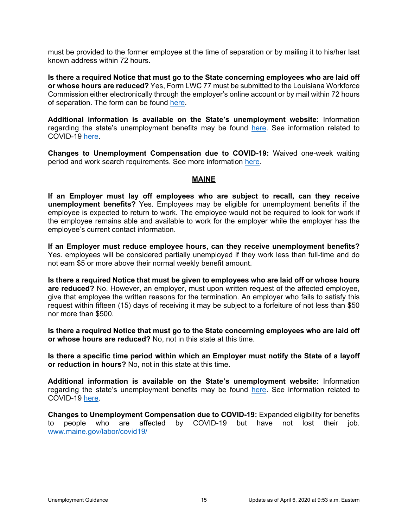must be provided to the former employee at the time of separation or by mailing it to his/her last known address within 72 hours.

**Is there a required Notice that must go to the State concerning employees who are laid off or whose hours are reduced?** Yes, Form LWC 77 must be submitted to the Louisiana Workforce Commission either electronically through the employer's online account or by mail within 72 hours of separation. The form can be found [here.](https://www.louisianaworks.net/hire/vosnet/EmployerSeparationNoticeRedirector.aspx)

**Additional information is available on the State's unemployment website:** Information regarding the state's unemployment benefits may be found [here.](http://www.louisianaworks.net/servicesforemployers/Unemployment) See information related to COVID-19 [here.](http://www.laworks.net/Downloads/PR/COVID_19_Information.pdf)

**Changes to Unemployment Compensation due to COVID-19:** Waived one-week waiting period and work search requirements. See more information [here.](http://www.laworks.net/Downloads/PR/COVID_19_Information.pdf)

#### **MAINE**

<span id="page-17-0"></span>**If an Employer must lay off employees who are subject to recall, can they receive unemployment benefits?** Yes. Employees may be eligible for unemployment benefits if the employee is expected to return to work. The employee would not be required to look for work if the employee remains able and available to work for the employer while the employer has the employee's current contact information.

**If an Employer must reduce employee hours, can they receive unemployment benefits?**  Yes. employees will be considered partially unemployed if they work less than full-time and do not earn \$5 or more above their normal weekly benefit amount.

**Is there a required Notice that must be given to employees who are laid off or whose hours are reduced?** No. However, an employer, must upon written request of the affected employee, give that employee the written reasons for the termination. An employer who fails to satisfy this request within fifteen (15) days of receiving it may be subject to a forfeiture of not less than \$50 nor more than \$500.

**Is there a required Notice that must go to the State concerning employees who are laid off or whose hours are reduced?** No, not in this state at this time.

**Is there a specific time period within which an Employer must notify the State of a layoff or reduction in hours?** No, not in this state at this time.

**Additional information is available on the State's unemployment website:** Information regarding the state's unemployment benefits may be found [here.](https://www.maine.gov/unemployment/employers/) See information related to COVID-19 [here.](https://www.maine.gov/labor/covid19/)

**Changes to Unemployment Compensation due to COVID-19:** Expanded eligibility for benefits to people who are affected by COVID-19 but have not lost their iob. affected by COVID-19 but have not lost their job. [www.maine.gov/labor/covid19/](https://www.maine.gov/labor/covid19/)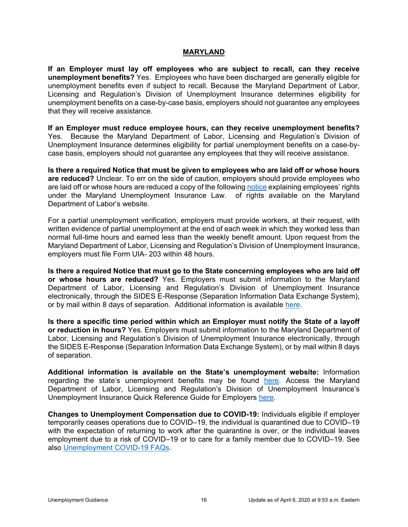#### **MARYLAND**

<span id="page-18-0"></span>**If an Employer must lay off employees who are subject to recall, can they receive unemployment benefits?** Yes. Employees who have been discharged are generally eligible for unemployment benefits even if subject to recall. Because the Maryland Department of Labor, Licensing and Regulation's Division of Unemployment Insurance determines eligibility for unemployment benefits on a case-by-case basis, employers should not guarantee any employees that they will receive assistance.

**If an Employer must reduce employee hours, can they receive unemployment benefits?**  Yes. Because the Maryland Department of Labor, Licensing and Regulation's Division of Unemployment Insurance determines eligibility for partial unemployment benefits on a case-bycase basis, employers should not guarantee any employees that they will receive assistance.

**Is there a required Notice that must be given to employees who are laid off or whose hours are reduced?** Unclear. To err on the side of caution, employers should provide employees who are laid off or whose hours are reduced a copy of the following [notice](https://www.dllr.state.md.us/employment/empguide/uibenefitposter.pdf) explaining employees' rights under the Maryland Unemployment Insurance Law. of rights available on the Maryland Department of Labor's website.

For a partial unemployment verification, employers must provide workers, at their request, with written evidence of partial unemployment at the end of each week in which they worked less than normal full-time hours and earned less than the weekly benefit amount. Upon request from the Maryland Department of Labor, Licensing and Regulation's Division of Unemployment Insurance, employers must file Form UIA- 203 within 48 hours.

**Is there a required Notice that must go to the State concerning employees who are laid off or whose hours are reduced?** Yes. Employers must submit information to the Maryland Department of Labor, Licensing and Regulation's Division of Unemployment Insurance electronically, through the SIDES E-Response (Separation Information Data Exchange System), or by mail within 8 days of separation. Additional information is available [here.](https://secure-2.dllr.state.md.us/net207/welcome.aspx)

**Is there a specific time period within which an Employer must notify the State of a layoff or reduction in hours?** Yes. Employers must submit information to the Maryland Department of Labor, Licensing and Regulation's Division of Unemployment Insurance electronically, through the SIDES E-Response (Separation Information Data Exchange System), or by mail within 8 days of separation.

**Additional information is available on the State's unemployment website:** Information regarding the state's unemployment benefits may be found [here.](https://www.dllr.state.md.us/employment/unemployment.shtml) Access the Maryland Department of Labor, Licensing and Regulation's Division of Unemployment Insurance's Unemployment Insurance Quick Reference Guide for Employers [here.](https://www.dllr.state.md.us/employment/empguide/empguide.pdf)

**Changes to Unemployment Compensation due to COVID-19:** Individuals eligible if employer temporarily ceases operations due to COVID–19, the individual is quarantined due to COVID–19 with the expectation of returning to work after the quarantine is over, or the individual leaves employment due to a risk of COVID–19 or to care for a family member due to COVID–19. See also [Unemployment COVID-19 FAQs.](https://www.dllr.state.md.us/employment/uicovidfaqs.shtml)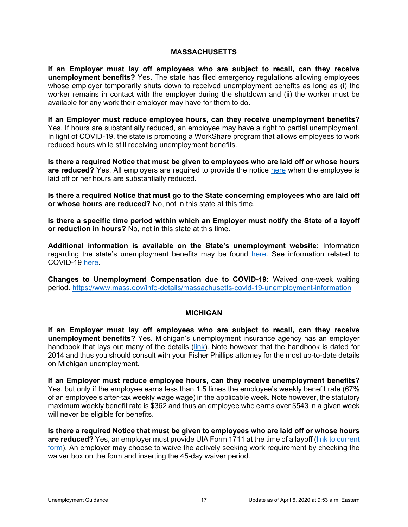### **MASSACHUSETTS**

<span id="page-19-0"></span>**If an Employer must lay off employees who are subject to recall, can they receive unemployment benefits?** Yes. The state has filed emergency regulations allowing employees whose employer temporarily shuts down to received unemployment benefits as long as (i) the worker remains in contact with the employer during the shutdown and (ii) the worker must be available for any work their employer may have for them to do.

**If an Employer must reduce employee hours, can they receive unemployment benefits?**  Yes. If hours are substantially reduced, an employee may have a right to partial unemployment. In light of COVID-19, the state is promoting a WorkShare program that allows employees to work reduced hours while still receiving unemployment benefits.

**Is there a required Notice that must be given to employees who are laid off or whose hours are reduced?** Yes. All employers are required to provide the notice [here](https://www.mass.gov/doc/how-to-apply-for-unemployment-insurance-benefits-form-0590a/download) when the employee is laid off or her hours are substantially reduced.

**Is there a required Notice that must go to the State concerning employees who are laid off or whose hours are reduced?** No, not in this state at this time.

**Is there a specific time period within which an Employer must notify the State of a layoff or reduction in hours?** No, not in this state at this time.

**Additional information is available on the State's unemployment website:** Information regarding the state's unemployment benefits may be found [here.](https://www.mass.gov/topics/unemployment-information-for-employers) See information related to COVID-19 [here.](https://www.mass.gov/info-details/massachusetts-covid-19-unemployment-information)

**Changes to Unemployment Compensation due to COVID-19:** Waived one-week waiting period.<https://www.mass.gov/info-details/massachusetts-covid-19-unemployment-information>

#### **MICHIGAN**

<span id="page-19-1"></span>**If an Employer must lay off employees who are subject to recall, can they receive unemployment benefits?** Yes. Michigan's unemployment insurance agency has an employer handbook that lays out many of the details [\(link\)](https://www.michigan.gov/documents/uia/Employer_Handbook1-14_455893_7.pdf). Note however that the handbook is dated for 2014 and thus you should consult with your Fisher Phillips attorney for the most up-to-date details on Michigan unemployment.

**If an Employer must reduce employee hours, can they receive unemployment benefits?**  Yes, but only if the employee earns less than 1.5 times the employee's weekly benefit rate (67% of an employee's after-tax weekly wage wage) in the applicable week. Note however, the statutory maximum weekly benefit rate is \$362 and thus an employee who earns over \$543 in a given week will never be eligible for benefits.

**Is there a required Notice that must be given to employees who are laid off or whose hours are reduced?** Yes, an employer must provide UIA Form 1711 at the time of a layoff [\(link to current](https://www.michigan.gov/documents/uia_UC1710_76109_7.pdf)  [form\)](https://www.michigan.gov/documents/uia_UC1710_76109_7.pdf). An employer may choose to waive the actively seeking work requirement by checking the waiver box on the form and inserting the 45-day waiver period.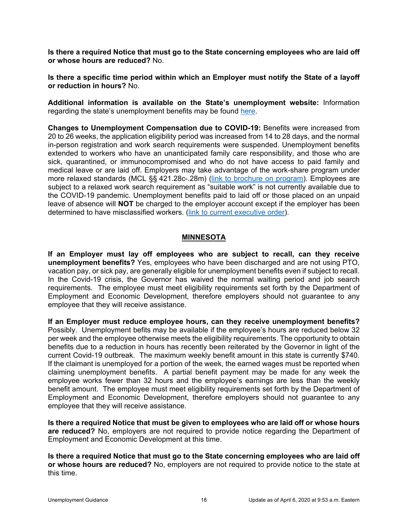**Is there a required Notice that must go to the State concerning employees who are laid off or whose hours are reduced?** No.

**Is there a specific time period within which an Employer must notify the State of a layoff or reduction in hours?** No.

**Additional information is available on the State's unemployment website:** Information regarding the state's unemployment benefits may be found [here.](https://www.michigan.gov/leo/0,5863,7-336-78421_97241_89981---,00.html)

**Changes to Unemployment Compensation due to COVID-19:** Benefits were increased from 20 to 26 weeks, the application eligibility period was increased from 14 to 28 days, and the normal in-person registration and work search requirements were suspended. Unemployment benefits extended to workers who have an unanticipated family care responsibility, and those who are sick, quarantined, or immunocompromised and who do not have access to paid family and medical leave or are laid off. Employers may take advantage of the work-share program under more relaxed standards (MCL §§ 421.28c-.28m) [\(link to brochure on program\)](https://www.michigan.gov/documents/uia/156_-_Shared_work_fact_sheet_letter_426209_7.pdf). Employees are subject to a relaxed work search requirement as "suitable work" is not currently available due to the COVID-19 pandemic. Unemployment benefits paid to laid off or those placed on an unpaid leave of absence will **NOT** be charged to the employer account except if the employer has been determined to have misclassified workers. [\(link to current executive order\)](http://www.legislature.mi.gov/documents/2019-2020/executiveorder/pdf/2020-EO-24.pdf).

#### **MINNESOTA**

<span id="page-20-0"></span>**If an Employer must lay off employees who are subject to recall, can they receive unemployment benefits?** Yes, employees who have been discharged and are not using PTO, vacation pay, or sick pay, are generally eligible for unemployment benefits even if subject to recall. In the Covid-19 crisis, the Governor has waived the normal waiting period and job search requirements. The employee must meet eligibility requirements set forth by the Department of Employment and Economic Development, therefore employers should not guarantee to any employee that they will receive assistance.

**If an Employer must reduce employee hours, can they receive unemployment benefits?**  Possibly. Unemployment befits may be available if the employee's hours are reduced below 32 per week and the employee otherwise meets the eligibility requirements. The opportunity to obtain benefits due to a reduction in hours has recently been reiterated by the Governor in light of the current Covid-19 outbreak. The maximum weekly benefit amount in this state is currently \$740. If the claimant is unemployed for a portion of the week, the earned wages must be reported when claiming unemployment benefits. A partial benefit payment may be made for any week the employee works fewer than 32 hours and the employee's earnings are less than the weekly benefit amount. The employee must meet eligibility requirements set forth by the Department of Employment and Economic Development, therefore employers should not guarantee to any employee that they will receive assistance.

**Is there a required Notice that must be given to employees who are laid off or whose hours are reduced?** No, employers are not required to provide notice regarding the Department of Employment and Economic Development at this time.

**Is there a required Notice that must go to the State concerning employees who are laid off or whose hours are reduced?** No, employers are not required to provide notice to the state at this time.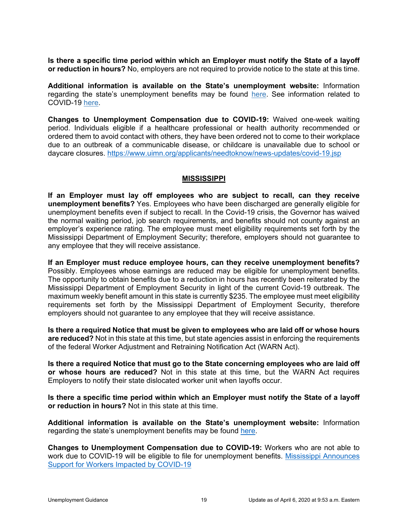**Is there a specific time period within which an Employer must notify the State of a layoff or reduction in hours?** No, employers are not required to provide notice to the state at this time.

**Additional information is available on the State's unemployment website:** Information regarding the state's unemployment benefits may be found [here.](https://www.uimn.org/employers/index.jsp) See information related to COVID-19 [here.](https://www.uimn.org/employers/employer-account/news-updates/covid-19.jsp)

**Changes to Unemployment Compensation due to COVID-19:** Waived one-week waiting period. Individuals eligible if a healthcare professional or health authority recommended or ordered them to avoid contact with others, they have been ordered not to come to their workplace due to an outbreak of a communicable disease, or childcare is unavailable due to school or daycare closures.<https://www.uimn.org/applicants/needtoknow/news-updates/covid-19.jsp>

### **MISSISSIPPI**

<span id="page-21-0"></span>**If an Employer must lay off employees who are subject to recall, can they receive unemployment benefits?** Yes. Employees who have been discharged are generally eligible for unemployment benefits even if subject to recall. In the Covid-19 crisis, the Governor has waived the normal waiting period, job search requirements, and benefits should not county against an employer's experience rating. The employee must meet eligibility requirements set forth by the Mississippi Department of Employment Security; therefore, employers should not guarantee to any employee that they will receive assistance.

**If an Employer must reduce employee hours, can they receive unemployment benefits?**  Possibly. Employees whose earnings are reduced may be eligible for unemployment benefits. The opportunity to obtain benefits due to a reduction in hours has recently been reiterated by the Mississippi Department of Employment Security in light of the current Covid-19 outbreak. The maximum weekly benefit amount in this state is currently \$235. The employee must meet eligibility requirements set forth by the Mississippi Department of Employment Security, therefore employers should not guarantee to any employee that they will receive assistance.

**Is there a required Notice that must be given to employees who are laid off or whose hours are reduced?** Not in this state at this time, but state agencies assist in enforcing the requirements of the federal Worker Adjustment and Retraining Notification Act (WARN Act).

**Is there a required Notice that must go to the State concerning employees who are laid off or whose hours are reduced?** Not in this state at this time, but the WARN Act requires Employers to notify their state dislocated worker unit when layoffs occur.

**Is there a specific time period within which an Employer must notify the State of a layoff or reduction in hours?** Not in this state at this time.

**Additional information is available on the State's unemployment website:** Information regarding the state's unemployment benefits may be found [here.](https://www.mdes.ms.gov/employers/tax-credits,-ui-services-appeals/)

**Changes to Unemployment Compensation due to COVID-19:** Workers who are not able to work due to COVID-19 will be eligible to file for unemployment benefits. [Mississippi Announces](https://mdes.ms.gov/news/2020/03/20/mississippi-announces-support-for-workers-impacted-by-covid-19/)  [Support for Workers Impacted by COVID-19](https://mdes.ms.gov/news/2020/03/20/mississippi-announces-support-for-workers-impacted-by-covid-19/)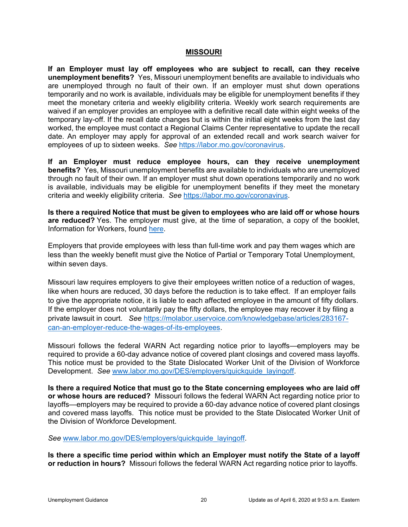#### **MISSOURI**

<span id="page-22-0"></span>**If an Employer must lay off employees who are subject to recall, can they receive unemployment benefits?** Yes, Missouri unemployment benefits are available to individuals who are unemployed through no fault of their own. If an employer must shut down operations temporarily and no work is available, individuals may be eligible for unemployment benefits if they meet the monetary criteria and weekly eligibility criteria. Weekly work search requirements are waived if an employer provides an employee with a definitive recall date within eight weeks of the temporary lay-off. If the recall date changes but is within the initial eight weeks from the last day worked, the employee must contact a Regional Claims Center representative to update the recall date. An employer may apply for approval of an extended recall and work search waiver for employees of up to sixteen weeks. *See* [https://labor.mo.gov/coronavirus.](https://labor.mo.gov/coronavirus)

**If an Employer must reduce employee hours, can they receive unemployment benefits?** Yes, Missouri unemployment benefits are available to individuals who are unemployed through no fault of their own. If an employer must shut down operations temporarily and no work is available, individuals may be eligible for unemployment benefits if they meet the monetary criteria and weekly eligibility criteria. *See* [https://labor.mo.gov/coronavirus.](https://labor.mo.gov/coronavirus)

**Is there a required Notice that must be given to employees who are laid off or whose hours are reduced?** Yes. The employer must give, at the time of separation, a copy of the booklet, Information for Workers, found [here.](https://labor.mo.gov/sites/labor/files/pubs_forms/M-INF-170-11-AI.pdf)

Employers that provide employees with less than full-time work and pay them wages which are less than the weekly benefit must give the Notice of Partial or Temporary Total Unemployment, within seven days.

Missouri law requires employers to give their employees written notice of a reduction of wages, like when hours are reduced, 30 days before the reduction is to take effect. If an employer fails to give the appropriate notice, it is liable to each affected employee in the amount of fifty dollars. If the employer does not voluntarily pay the fifty dollars, the employee may recover it by filing a private lawsuit in court. *See* [https://molabor.uservoice.com/knowledgebase/articles/283167](https://molabor.uservoice.com/knowledgebase/articles/283167-can-an-employer-reduce-the-wages-of-its-employees) [can-an-employer-reduce-the-wages-of-its-employees.](https://molabor.uservoice.com/knowledgebase/articles/283167-can-an-employer-reduce-the-wages-of-its-employees)

Missouri follows the federal WARN Act regarding notice prior to layoffs—employers may be required to provide a 60-day advance notice of covered plant closings and covered mass layoffs. This notice must be provided to the State Dislocated Worker Unit of the Division of Workforce Development. *See* [www.labor.mo.gov/DES/employers/quickquide\\_layingoff.](http://www.labor.mo.gov/DES/employers/quickquide_layingoff)

**Is there a required Notice that must go to the State concerning employees who are laid off or whose hours are reduced?** Missouri follows the federal WARN Act regarding notice prior to layoffs—employers may be required to provide a 60-day advance notice of covered plant closings and covered mass layoffs. This notice must be provided to the State Dislocated Worker Unit of the Division of Workforce Development.

*See* [www.labor.mo.gov/DES/employers/quickquide\\_layingoff.](http://www.labor.mo.gov/DES/employers/quickquide_layingoff)

**Is there a specific time period within which an Employer must notify the State of a layoff or reduction in hours?** Missouri follows the federal WARN Act regarding notice prior to layoffs.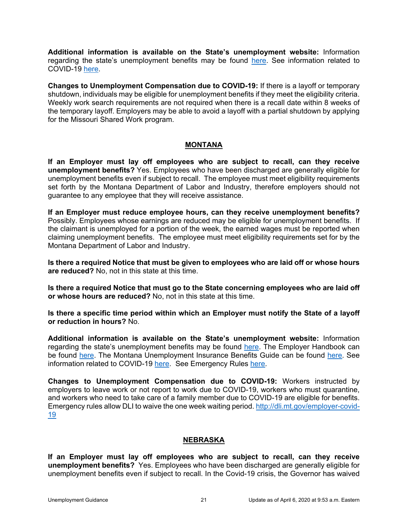**Additional information is available on the State's unemployment website:** Information regarding the state's unemployment benefits may be found [here.](https://labor.mo.gov/unemployed-workers) See information related to COVID-19 [here.](https://labor.mo.gov/coronavirus)

**Changes to Unemployment Compensation due to COVID-19:** If there is a layoff or temporary shutdown, individuals may be eligible for unemployment benefits if they meet the eligibility criteria. Weekly work search requirements are not required when there is a recall date within 8 weeks of the temporary layoff. Employers may be able to avoid a layoff with a partial shutdown by applying for the Missouri Shared Work program.

### **MONTANA**

<span id="page-23-0"></span>**If an Employer must lay off employees who are subject to recall, can they receive unemployment benefits?** Yes. Employees who have been discharged are generally eligible for unemployment benefits even if subject to recall. The employee must meet eligibility requirements set forth by the Montana Department of Labor and Industry, therefore employers should not guarantee to any employee that they will receive assistance.

**If an Employer must reduce employee hours, can they receive unemployment benefits?**  Possibly. Employees whose earnings are reduced may be eligible for unemployment benefits. If the claimant is unemployed for a portion of the week, the earned wages must be reported when claiming unemployment benefits. The employee must meet eligibility requirements set for by the Montana Department of Labor and Industry.

**Is there a required Notice that must be given to employees who are laid off or whose hours are reduced?** No, not in this state at this time.

**Is there a required Notice that must go to the State concerning employees who are laid off or whose hours are reduced?** No, not in this state at this time.

**Is there a specific time period within which an Employer must notify the State of a layoff or reduction in hours?** No.

**Additional information is available on the State's unemployment website:** Information regarding the state's unemployment benefits may be found [here.](http://uid.dli.mt.gov/employers) The Employer Handbook can be found [here.](http://uid.dli.mt.gov/Portals/55/Documents/Contributions-Bureau/dli-uid-ui010.pdf) The Montana Unemployment Insurance Benefits Guide can be found [here.](https://eligibility.com/unemployment/montana-mt-unemployment-benefits) See information related to COVID-19 [here.](https://www.naswa.org/system/files/2020-03/montanaeligibilitychangesforcovid-19cases.pdf) See Emergency Rules [here.](http://uid.dli.mt.gov/Portals/55/Documents/news/24-11-355adp-emerg.pdf?ver=2020-03-18-112334-213)

**Changes to Unemployment Compensation due to COVID-19:** Workers instructed by employers to leave work or not report to work due to COVID-19, workers who must quarantine, and workers who need to take care of a family member due to COVID-19 are eligible for benefits. Emergency rules allow DLI to waive the one week waiting period. [http://dli.mt.gov/employer-covid-](http://dli.mt.gov/employer-covid-19)[19](http://dli.mt.gov/employer-covid-19)

### **NEBRASKA**

<span id="page-23-1"></span>**If an Employer must lay off employees who are subject to recall, can they receive unemployment benefits?** Yes. Employees who have been discharged are generally eligible for unemployment benefits even if subject to recall. In the Covid-19 crisis, the Governor has waived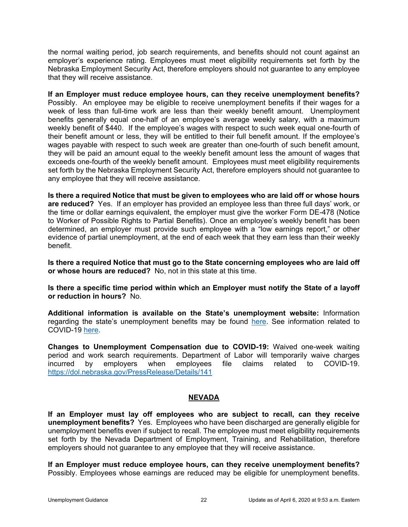the normal waiting period, job search requirements, and benefits should not count against an employer's experience rating. Employees must meet eligibility requirements set forth by the Nebraska Employment Security Act, therefore employers should not guarantee to any employee that they will receive assistance.

**If an Employer must reduce employee hours, can they receive unemployment benefits?**  Possibly. An employee may be eligible to receive unemployment benefits if their wages for a week of less than full-time work are less than their weekly benefit amount. Unemployment benefits generally equal one-half of an employee's average weekly salary, with a maximum weekly benefit of \$440. If the employee's wages with respect to such week equal one-fourth of their benefit amount or less, they will be entitled to their full benefit amount. If the employee's wages payable with respect to such week are greater than one-fourth of such benefit amount, they will be paid an amount equal to the weekly benefit amount less the amount of wages that exceeds one-fourth of the weekly benefit amount. Employees must meet eligibility requirements set forth by the Nebraska Employment Security Act, therefore employers should not guarantee to any employee that they will receive assistance.

**Is there a required Notice that must be given to employees who are laid off or whose hours are reduced?** Yes. If an employer has provided an employee less than three full days' work, or the time or dollar earnings equivalent, the employer must give the worker Form DE-478 (Notice to Worker of Possible Rights to Partial Benefits). Once an employee's weekly benefit has been determined, an employer must provide such employee with a "low earnings report," or other evidence of partial unemployment, at the end of each week that they earn less than their weekly benefit.

**Is there a required Notice that must go to the State concerning employees who are laid off or whose hours are reduced?** No, not in this state at this time.

**Is there a specific time period within which an Employer must notify the State of a layoff or reduction in hours?** No.

**Additional information is available on the State's unemployment website:** Information regarding the state's unemployment benefits may be found [here.](https://www.dol.nebraska.gov/Home/Businesses) See information related to COVID-19 [here.](https://www.dropbox.com/s/h472p8y2fpdcmtl/EO%2020-04%20-%20Emergency%20Unemployment%20Insurance%20Benefit%20Relief%20.pdf?dl=0)

**Changes to Unemployment Compensation due to COVID-19:** Waived one-week waiting period and work search requirements. Department of Labor will temporarily waive charges incurred by employers when employees file claims related to COVID-19. <https://dol.nebraska.gov/PressRelease/Details/141>

### **NEVADA**

<span id="page-24-0"></span>**If an Employer must lay off employees who are subject to recall, can they receive unemployment benefits?** Yes. Employees who have been discharged are generally eligible for unemployment benefits even if subject to recall. The employee must meet eligibility requirements set forth by the Nevada Department of Employment, Training, and Rehabilitation, therefore employers should not guarantee to any employee that they will receive assistance.

**If an Employer must reduce employee hours, can they receive unemployment benefits?**  Possibly. Employees whose earnings are reduced may be eligible for unemployment benefits.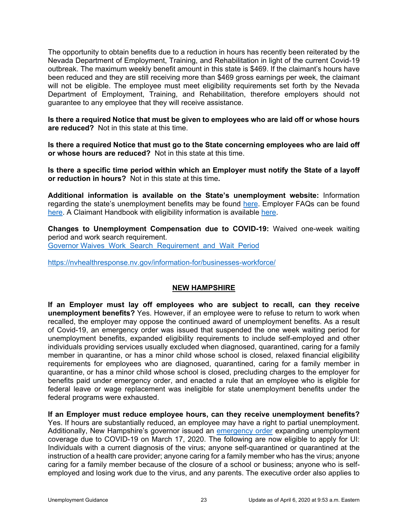The opportunity to obtain benefits due to a reduction in hours has recently been reiterated by the Nevada Department of Employment, Training, and Rehabilitation in light of the current Covid-19 outbreak. The maximum weekly benefit amount in this state is \$469. If the claimant's hours have been reduced and they are still receiving more than \$469 gross earnings per week, the claimant will not be eligible. The employee must meet eligibility requirements set forth by the Nevada Department of Employment, Training, and Rehabilitation, therefore employers should not guarantee to any employee that they will receive assistance.

**Is there a required Notice that must be given to employees who are laid off or whose hours are reduced?** Not in this state at this time.

**Is there a required Notice that must go to the State concerning employees who are laid off or whose hours are reduced?** Not in this state at this time.

**Is there a specific time period within which an Employer must notify the State of a layoff or reduction in hours?** Not in this state at this time**.**

**Additional information is available on the State's unemployment website:** Information regarding the state's unemployment benefits may be found [here.](http://www.ui.nv.gov/ess.html) Employer FAQs can be found [here.](http://ui.nv.gov/ESSHTML/faq.htm) A Claimant Handbook with eligibility information is available [here.](http://ui.nv.gov/PDFs/UI_Claimants_Handbook.pdf)

**Changes to Unemployment Compensation due to COVID-19:** Waived one-week waiting period and work search requirement. Governor Waives Work Search Requirement and Wait Period

<https://nvhealthresponse.nv.gov/information-for/businesses-workforce/>

### **NEW HAMPSHIRE**

<span id="page-25-0"></span>**If an Employer must lay off employees who are subject to recall, can they receive unemployment benefits?** Yes. However, if an employee were to refuse to return to work when recalled, the employer may oppose the continued award of unemployment benefits. As a result of Covid-19, an emergency order was issued that suspended the one week waiting period for unemployment benefits, expanded eligibility requirements to include self-employed and other individuals providing services usually excluded when diagnosed, quarantined, caring for a family member in quarantine, or has a minor child whose school is closed, relaxed financial eligibility requirements for employees who are diagnosed, quarantined, caring for a family member in quarantine, or has a minor child whose school is closed, precluding charges to the employer for benefits paid under emergency order, and enacted a rule that an employee who is eligible for federal leave or wage replacement was ineligible for state unemployment benefits under the federal programs were exhausted.

**If an Employer must reduce employee hours, can they receive unemployment benefits?**  Yes. If hours are substantially reduced, an employee may have a right to partial unemployment. Additionally, New Hampshire's governor issued an [emergency order](https://www.governor.nh.gov/news-media/emergency-orders/documents/emergency-order-5.pdf) expanding unemployment coverage due to COVID-19 on March 17, 2020. The following are now eligible to apply for UI: Individuals with a current diagnosis of the virus; anyone self-quarantined or quarantined at the instruction of a health care provider; anyone caring for a family member who has the virus; anyone caring for a family member because of the closure of a school or business; anyone who is selfemployed and losing work due to the virus, and any parents. The executive order also applies to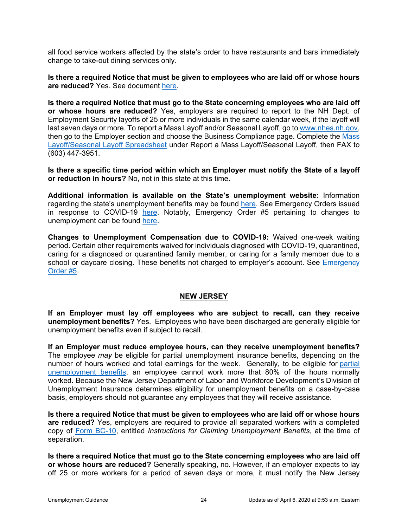all food service workers affected by the state's order to have restaurants and bars immediately change to take-out dining services only.

**Is there a required Notice that must be given to employees who are laid off or whose hours are reduced?** Yes. See document [here.](https://www.nhes.nh.gov/forms/documents/unemployment-notice.pdf)

**Is there a required Notice that must go to the State concerning employees who are laid off or whose hours are reduced?** Yes, employers are required to report to the NH Dept. of Employment Security layoffs of 25 or more individuals in the same calendar week, if the layoff will last seven days or more. To report a Mass Layoff and/or Seasonal Layoff, go to [www.nhes.nh.gov,](https://www.nhes.nh.gov/) then go to the Employer section and choose the Business Compliance page. Complete the [Mass](https://www.nhes.nh.gov/contact/documents/employer-shutdown-info.xls)  [Layoff/Seasonal Layoff Spreadsheet](https://www.nhes.nh.gov/contact/documents/employer-shutdown-info.xls) under Report a Mass Layoff/Seasonal Layoff, then FAX to (603) 447-3951.

**Is there a specific time period within which an Employer must notify the State of a layoff or reduction in hours?** No, not in this state at this time.

**Additional information is available on the State's unemployment website:** Information regarding the state's unemployment benefits may be found [here.](https://www.nhes.nh.gov/services/employers/index.htm) See Emergency Orders issued in response to COVID-19 [here.](https://www.governor.nh.gov/news-media/emergency-orders/index.htm) Notably, Emergency Order #5 pertaining to changes to unemployment can be found [here.](https://www.governor.nh.gov/news-media/emergency-orders/documents/emergency-order-5.pdf)

**Changes to Unemployment Compensation due to COVID-19:** Waived one-week waiting period. Certain other requirements waived for individuals diagnosed with COVID-19, quarantined, caring for a diagnosed or quarantined family member, or caring for a family member due to a school or daycare closing. These benefits not charged to employer's account. See [Emergency](https://www.governor.nh.gov/news-media/emergency-orders/documents/emergency-order-5.pdf)  [Order #5.](https://www.governor.nh.gov/news-media/emergency-orders/documents/emergency-order-5.pdf)

#### **NEW JERSEY**

<span id="page-26-0"></span>**If an Employer must lay off employees who are subject to recall, can they receive unemployment benefits?** Yes. Employees who have been discharged are generally eligible for unemployment benefits even if subject to recall.

**If an Employer must reduce employee hours, can they receive unemployment benefits?**  The employee *may* be eligible for partial unemployment insurance benefits, depending on the number of hours worked and total earnings for the week. Generally, to be eligible for partial [unemployment benefits,](https://myunemployment.nj.gov/labor/myunemployment/before/about/calculator/index.shtml?open#parttime) an employee cannot work more that 80% of the hours normally worked. Because the New Jersey Department of Labor and Workforce Development's Division of Unemployment Insurance determines eligibility for unemployment benefits on a case-by-case basis, employers should not guarantee any employees that they will receive assistance.

**Is there a required Notice that must be given to employees who are laid off or whose hours are reduced?** Yes, employers are required to provide all separated workers with a completed copy of [Form BC-10,](https://www.nj.gov/labor/forms_pdfs/ui/BC10.pdf) entitled *Instructions for Claiming Unemployment Benefits*, at the time of separation.

**Is there a required Notice that must go to the State concerning employees who are laid off or whose hours are reduced?** Generally speaking, no. However, if an employer expects to lay off 25 or more workers for a period of seven days or more, it must notify the New Jersey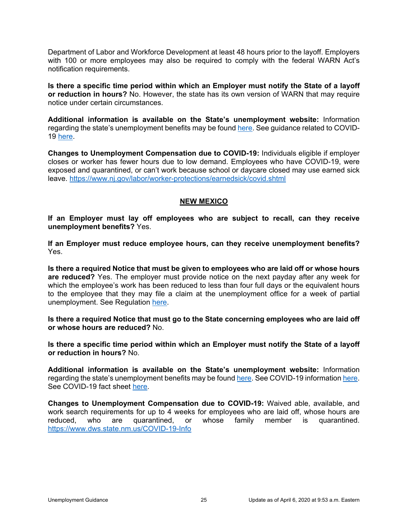Department of Labor and Workforce Development at least 48 hours prior to the layoff. Employers with 100 or more employees may also be required to comply with the federal WARN Act's notification requirements.

**Is there a specific time period within which an Employer must notify the State of a layoff or reduction in hours?** No. However, the state has its own version of WARN that may require notice under certain circumstances.

**Additional information is available on the State's unemployment website:** Information regarding the state's unemployment benefits may be found here. See guidance related to COVID-19 [here.](https://myunemployment.nj.gov/labor/myunemployment/covidinstructions.shtml)

**Changes to Unemployment Compensation due to COVID-19:** Individuals eligible if employer closes or worker has fewer hours due to low demand. Employees who have COVID-19, were exposed and quarantined, or can't work because school or daycare closed may use earned sick leave.<https://www.nj.gov/labor/worker-protections/earnedsick/covid.shtml>

### **NEW MEXICO**

<span id="page-27-0"></span>**If an Employer must lay off employees who are subject to recall, can they receive unemployment benefits?** Yes.

**If an Employer must reduce employee hours, can they receive unemployment benefits?**  Yes.

**Is there a required Notice that must be given to employees who are laid off or whose hours are reduced?** Yes. The employer must provide notice on the next payday after any week for which the employee's work has been reduced to less than four full days or the equivalent hours to the employee that they may file a claim at the unemployment office for a week of partial unemployment. See Regulation [here.](https://www.dws.state.nm.us/Portals/0/DM/Business/ERUTUCONM.pdf)

**Is there a required Notice that must go to the State concerning employees who are laid off or whose hours are reduced?** No.

**Is there a specific time period within which an Employer must notify the State of a layoff or reduction in hours?** No.

**Additional information is available on the State's unemployment website:** Information regarding the state's unemployment benefits may be foun[d here.](https://www.dws.state.nm.us/en-us/Businesses) See COVID-19 information [here.](https://www.dws.state.nm.us/COVID-19-Info) See COVID-19 fact sheet [here.](https://www.dws.state.nm.us/Portals/0/DM/UI/COVID-19FactSheet.pdf)

**Changes to Unemployment Compensation due to COVID-19:** Waived able, available, and work search requirements for up to 4 weeks for employees who are laid off, whose hours are reduced, who are quarantined, or whose family member is quarantined. <https://www.dws.state.nm.us/COVID-19-Info>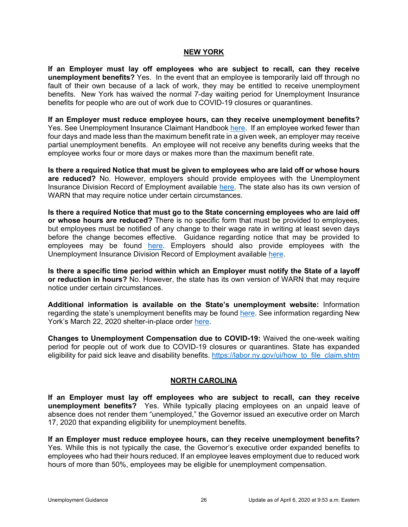#### **NEW YORK**

<span id="page-28-0"></span>**If an Employer must lay off employees who are subject to recall, can they receive unemployment benefits?** Yes. In the event that an employee is temporarily laid off through no fault of their own because of a lack of work, they may be entitled to receive unemployment benefits. New York has waived the normal 7-day waiting period for Unemployment Insurance benefits for people who are out of work due to COVID-19 closures or quarantines.

**If an Employer must reduce employee hours, can they receive unemployment benefits?**  Yes. See Unemployment Insurance Claimant Handbook [here.](https://labor.ny.gov/formsdocs/ui/TC318.3e.pdf) If an employee worked fewer than four days and made less than the maximum benefit rate in a given week, an employer may receive partial unemployment benefits. An employee will not receive any benefits during weeks that the employee works four or more days or makes more than the maximum benefit rate.

**Is there a required Notice that must be given to employees who are laid off or whose hours are reduced?** No. However, employers should provide employees with the Unemployment Insurance Division Record of Employment available [here.](https://labor.ny.gov/formsdocs/ui/IA12_3.pdf) The state also has its own version of WARN that may require notice under certain circumstances.

**Is there a required Notice that must go to the State concerning employees who are laid off or whose hours are reduced?** There is no specific form that must be provided to employees, but employees must be notified of any change to their wage rate in writing at least seven days before the change becomes effective. Guidance regarding notice that may be provided to employees may be found [here.](https://labor.ny.gov/formsdocs/factsheets/pdfs/p715.pdf) Employers should also provide employees with the Unemployment Insurance Division Record of Employment available [here.](https://labor.ny.gov/formsdocs/ui/IA12_3.pdf)

**Is there a specific time period within which an Employer must notify the State of a layoff or reduction in hours?** No. However, the state has its own version of WARN that may require notice under certain circumstances.

**Additional information is available on the State's unemployment website:** Information regarding the state's unemployment benefits may be found [here.](https://www.labor.ny.gov/ui/employer.shtm) See information regarding New York's March 22, 2020 shelter-in-place order [here.](https://coronavirus.health.ny.gov/home)

**Changes to Unemployment Compensation due to COVID-19:** Waived the one-week waiting period for people out of work due to COVID-19 closures or quarantines. State has expanded eligibility for paid sick leave and disability benefits. [https://labor.ny.gov/ui/how\\_to\\_file\\_claim.shtm](https://labor.ny.gov/ui/how_to_file_claim.shtm)

#### **NORTH CAROLINA**

<span id="page-28-1"></span>**If an Employer must lay off employees who are subject to recall, can they receive unemployment benefits?** Yes. While typically placing employees on an unpaid leave of absence does not render them "unemployed," the Governor issued an executive order on March 17, 2020 that expanding eligibility for unemployment benefits.

**If an Employer must reduce employee hours, can they receive unemployment benefits?**  Yes. While this is not typically the case, the Governor's executive order expanded benefits to employees who had their hours reduced. If an employee leaves employment due to reduced work hours of more than 50%, employees may be eligible for unemployment compensation.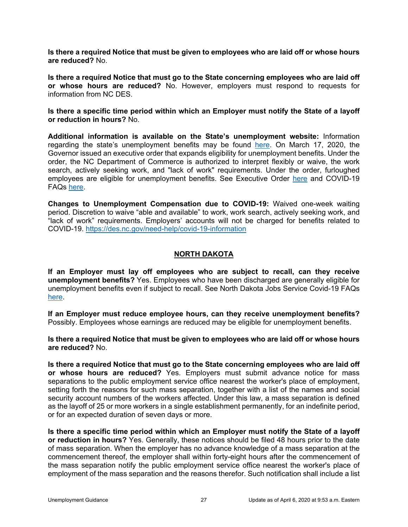**Is there a required Notice that must be given to employees who are laid off or whose hours are reduced?** No.

**Is there a required Notice that must go to the State concerning employees who are laid off or whose hours are reduced?** No. However, employers must respond to requests for information from NC DES.

**Is there a specific time period within which an Employer must notify the State of a layoff or reduction in hours?** No.

**Additional information is available on the State's unemployment website:** Information regarding the state's unemployment benefits may be found [here.](https://des.nc.gov/employers) On March 17, 2020, the Governor issued an executive order that expands eligibility for unemployment benefits. Under the order, the NC Department of Commerce is authorized to interpret flexibly or waive, the work search, actively seeking work, and "lack of work" requirements. Under the order, furloughed employees are eligible for unemployment benefits. See Executive Order [here](https://governor.nc.gov/documents/executive-order-no-118) and COVID-19 FAQs [here.](https://des.nc.gov/need-help/covid-19-information)

**Changes to Unemployment Compensation due to COVID-19:** Waived one-week waiting period. Discretion to waive "able and available" to work, work search, actively seeking work, and "lack of work" requirements. Employers' accounts will not be charged for benefits related to COVID-19.<https://des.nc.gov/need-help/covid-19-information>

### **NORTH DAKOTA**

<span id="page-29-0"></span>**If an Employer must lay off employees who are subject to recall, can they receive unemployment benefits?** Yes. Employees who have been discharged are generally eligible for unemployment benefits even if subject to recall. See North Dakota Jobs Service Covid-19 FAQs [here.](https://www.jobsnd.com/sites/www/files/documents/COVID19/uicovidfaq03222020.pdf)

**If an Employer must reduce employee hours, can they receive unemployment benefits?**  Possibly. Employees whose earnings are reduced may be eligible for unemployment benefits.

**Is there a required Notice that must be given to employees who are laid off or whose hours are reduced?** No.

**Is there a required Notice that must go to the State concerning employees who are laid off or whose hours are reduced?** Yes. Employers must submit advance notice for mass separations to the public employment service office nearest the worker's place of employment, setting forth the reasons for such mass separation, together with a list of the names and social security account numbers of the workers affected. Under this law, a mass separation is defined as the layoff of 25 or more workers in a single establishment permanently, for an indefinite period, or for an expected duration of seven days or more.

**Is there a specific time period within which an Employer must notify the State of a layoff or reduction in hours?** Yes. Generally, these notices should be filed 48 hours prior to the date of mass separation. When the employer has no advance knowledge of a mass separation at the commencement thereof, the employer shall within forty-eight hours after the commencement of the mass separation notify the public employment service office nearest the worker's place of employment of the mass separation and the reasons therefor. Such notification shall include a list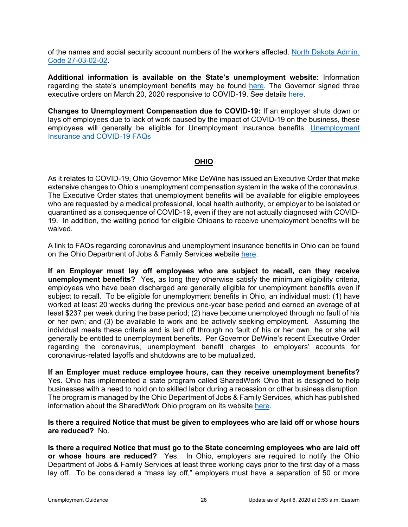of the names and social security account numbers of the workers affected. [North Dakota Admin.](https://www.legis.nd.gov/information/acdata/pdf/27-03-02.pdf)  [Code 27-03-02-02.](https://www.legis.nd.gov/information/acdata/pdf/27-03-02.pdf)

**Additional information is available on the State's unemployment website:** Information regarding the state's unemployment benefits may be found [here.](https://www.jobsnd.com/employer-resources) The Governor signed three executive orders on March 20, 2020 responsive to COVID-19. See details [here.](https://www.governor.nd.gov/news/state-takes-steps-reduce-regulatory-burdens-help-north-dakotans-through-covid-19-crisis)

**Changes to Unemployment Compensation due to COVID-19:** If an employer shuts down or lays off employees due to lack of work caused by the impact of COVID-19 on the business, these employees will generally be eligible for Unemployment Insurance benefits. [Unemployment](https://www.jobsnd.com/news/unemployment-insurance-and-covid-19-frequently-asked-questions)  [Insurance and COVID-19 FAQs](https://www.jobsnd.com/news/unemployment-insurance-and-covid-19-frequently-asked-questions)

### **OHIO**

<span id="page-30-0"></span>As it relates to COVID-19, Ohio Governor Mike DeWine has issued an Executive Order that make extensive changes to Ohio's unemployment compensation system in the wake of the coronavirus. The Executive Order states that unemployment benefits will be available for eligible employees who are requested by a medical professional, local health authority, or employer to be isolated or quarantined as a consequence of COVID-19, even if they are not actually diagnosed with COVID-19. In addition, the waiting period for eligible Ohioans to receive unemployment benefits will be waived.

A link to FAQs regarding coronavirus and unemployment insurance benefits in Ohio can be found on the Ohio Department of Jobs & Family Services website [here.](http://jfs.ohio.gov/ouio/CoronavirusAndUI.stm)

**If an Employer must lay off employees who are subject to recall, can they receive unemployment benefits?** Yes, as long they otherwise satisfy the minimum eligibility criteria, employees who have been discharged are generally eligible for unemployment benefits even if subject to recall. To be eligible for unemployment benefits in Ohio, an individual must: (1) have worked at least 20 weeks during the previous one-year base period and earned an average of at least \$237 per week during the base period; (2) have become unemployed through no fault of his or her own; and (3) be available to work and be actively seeking employment. Assuming the individual meets these criteria and is laid off through no fault of his or her own, he or she will generally be entitled to unemployment benefits. Per Governor DeWine's recent Executive Order regarding the coronavirus, unemployment benefit charges to employers' accounts for coronavirus-related layoffs and shutdowns are to be mutualized.

**If an Employer must reduce employee hours, can they receive unemployment benefits?** Yes. Ohio has implemented a state program called SharedWork Ohio that is designed to help businesses with a need to hold on to skilled labor during a recession or other business disruption. The program is managed by the Ohio Department of Jobs & Family Services, which has published information about the SharedWork Ohio program on its website [here.](http://jfs.ohio.gov/factsheets/SharedWorkOhio-FAQs.stm)

#### **Is there a required Notice that must be given to employees who are laid off or whose hours are reduced?** No.

**Is there a required Notice that must go to the State concerning employees who are laid off or whose hours are reduced?** Yes. In Ohio, employers are required to notify the Ohio Department of Jobs & Family Services at least three working days prior to the first day of a mass lay off. To be considered a "mass lay off," employers must have a separation of 50 or more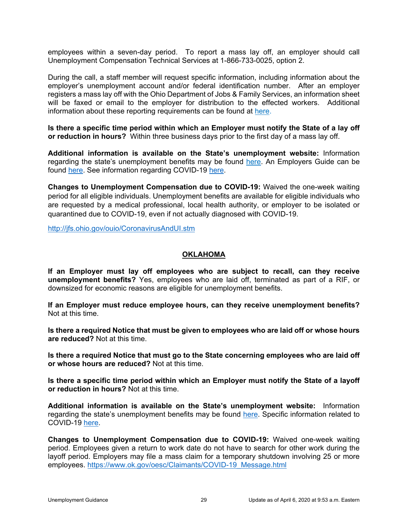employees within a seven-day period. To report a mass lay off, an employer should call Unemployment Compensation Technical Services at 1-866-733-0025, option 2.

During the call, a staff member will request specific information, including information about the employer's unemployment account and/or federal identification number. After an employer registers a mass lay off with the Ohio Department of Jobs & Family Services, an information sheet will be faxed or email to the employer for distribution to the effected workers. Additional information about these reporting requirements can be found at [here.](http://jfs.ohio.gov/ouio/masslayoff.pdf)

**Is there a specific time period within which an Employer must notify the State of a lay off or reduction in hours?** Within three business days prior to the first day of a mass lay off.

**Additional information is available on the State's unemployment website:** Information regarding the state's unemployment benefits may be found [here.](https://unemployment.ohio.gov/) An Employers Guide can be found [here.](http://www.odjfs.state.oh.us/forms/num/JFS08201/pdf/) See information regarding COVID-19 [here.](http://jfs.ohio.gov/ouio/CoronavirusAndUI.stm)

**Changes to Unemployment Compensation due to COVID-19:** Waived the one-week waiting period for all eligible individuals. Unemployment benefits are available for eligible individuals who are requested by a medical professional, local health authority, or employer to be isolated or quarantined due to COVID-19, even if not actually diagnosed with COVID-19.

<http://jfs.ohio.gov/ouio/CoronavirusAndUI.stm>

### **OKLAHOMA**

<span id="page-31-0"></span>**If an Employer must lay off employees who are subject to recall, can they receive unemployment benefits?** Yes, employees who are laid off, terminated as part of a RIF, or downsized for economic reasons are eligible for unemployment benefits.

**If an Employer must reduce employee hours, can they receive unemployment benefits?**  Not at this time.

**Is there a required Notice that must be given to employees who are laid off or whose hours are reduced?** Not at this time.

**Is there a required Notice that must go to the State concerning employees who are laid off or whose hours are reduced?** Not at this time.

**Is there a specific time period within which an Employer must notify the State of a layoff or reduction in hours?** Not at this time.

**Additional information is available on the State's unemployment website:** Information regarding the state's unemployment benefits may be found [here.](https://www.ok.gov/oesc/Businesses/index.html) Specific information related to COVID-19 [here.](https://www.ok.gov/oesc/Businesses/Employer_FAQs_about_UI_and_COVID-19/index.html)

**Changes to Unemployment Compensation due to COVID-19:** Waived one-week waiting period. Employees given a return to work date do not have to search for other work during the layoff period. Employers may file a mass claim for a temporary shutdown involving 25 or more employees. [https://www.ok.gov/oesc/Claimants/COVID-19\\_Message.html](https://www.ok.gov/oesc/Claimants/COVID-19_Message.html)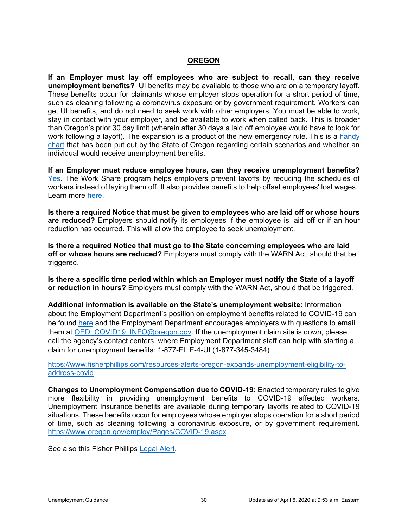#### **OREGON**

<span id="page-32-0"></span>**If an Employer must lay off employees who are subject to recall, can they receive unemployment benefits?** UI benefits may be available to those who are on a temporary layoff. These benefits occur for claimants whose employer stops operation for a short period of time, such as cleaning following a coronavirus exposure or by government requirement. Workers can get UI benefits, and do not need to seek work with other employers. You must be able to work, stay in contact with your employer, and be available to work when called back. This is broader than Oregon's prior 30 day limit (wherein after 30 days a laid off employee would have to look for work following a layoff). The expansion is a product of the new emergency rule. This is a handy [chart](https://www.oregon.gov/employ/Documents/EDPUB190_0320.pdf) that has been put out by the State of Oregon regarding certain scenarios and whether an individual would receive unemployment benefits.

**If an Employer must reduce employee hours, can they receive unemployment benefits?**  [Yes.](https://www.oregon.gov/employ/Documents/EDPUB190_0320.pdf) The Work Share program helps employers prevent layoffs by reducing the schedules of workers instead of laying them off. It also provides benefits to help offset employees' lost wages. Learn more [here.](https://www.oregon.gov/employ/Unemployment/Pages/Work-Share-Program.aspx)

**Is there a required Notice that must be given to employees who are laid off or whose hours are reduced?** Employers should notify its employees if the employee is laid off or if an hour reduction has occurred. This will allow the employee to seek unemployment.

**Is there a required Notice that must go to the State concerning employees who are laid off or whose hours are reduced?** Employers must comply with the WARN Act, should that be triggered.

**Is there a specific time period within which an Employer must notify the State of a layoff or reduction in hours?** Employers must comply with the WARN Act, should that be triggered.

**Additional information is available on the State's unemployment website:** Information about the Employment Department's position on employment benefits related to COVID-19 can be found [here](https://www.oregon.gov/employ/Pages/COVID-19.aspx) and the Employment Department encourages employers with questions to email them at OED COVID19 INFO@oregon.gov. If the unemployment claim site is down, please call the agency's contact centers, where Employment Department staff can help with starting a claim for unemployment benefits: 1-877-FILE-4-UI (1-877-345-3484)

[https://www.fisherphillips.com/resources-alerts-oregon-expands-unemployment-eligibility-to](https://www.fisherphillips.com/resources-alerts-oregon-expands-unemployment-eligibility-to-address-covid)[address-covid](https://www.fisherphillips.com/resources-alerts-oregon-expands-unemployment-eligibility-to-address-covid)

**Changes to Unemployment Compensation due to COVID-19:** Enacted temporary rules to give more flexibility in providing unemployment benefits to COVID-19 affected workers. Unemployment Insurance benefits are available during temporary layoffs related to COVID-19 situations. These benefits occur for employees whose employer stops operation for a short period of time, such as cleaning following a coronavirus exposure, or by government requirement. <https://www.oregon.gov/employ/Pages/COVID-19.aspx>

See also this Fisher Phillips [Legal Alert.](https://www.fisherphillips.com/resources-alerts-oregon-expands-unemployment-eligibility-to-address-covid)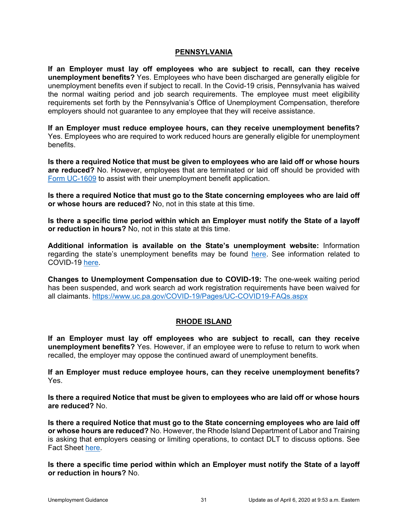#### **PENNSYLVANIA**

<span id="page-33-0"></span>**If an Employer must lay off employees who are subject to recall, can they receive unemployment benefits?** Yes. Employees who have been discharged are generally eligible for unemployment benefits even if subject to recall. In the Covid-19 crisis, Pennsylvania has waived the normal waiting period and job search requirements. The employee must meet eligibility requirements set forth by the Pennsylvania's Office of Unemployment Compensation, therefore employers should not guarantee to any employee that they will receive assistance.

**If an Employer must reduce employee hours, can they receive unemployment benefits?**  Yes. Employees who are required to work reduced hours are generally eligible for unemployment benefits.

**Is there a required Notice that must be given to employees who are laid off or whose hours are reduced?** No. However, employees that are terminated or laid off should be provided with [Form UC-1609](https://www.uc.pa.gov/Documents/UC_Forms/UC-1609.pdf) to assist with their unemployment benefit application.

**Is there a required Notice that must go to the State concerning employees who are laid off or whose hours are reduced?** No, not in this state at this time.

**Is there a specific time period within which an Employer must notify the State of a layoff or reduction in hours?** No, not in this state at this time.

**Additional information is available on the State's unemployment website:** Information regarding the state's unemployment benefits may be found [here.](https://www.uc.pa.gov/employers-uc-services-uc-tax/Pages/default.aspx) See information related to COVID-19 [here.](https://www.uc.pa.gov/COVID-19/Pages/Employer-COVID19-FAQs.aspx)

**Changes to Unemployment Compensation due to COVID-19:** The one-week waiting period has been suspended, and work search ad work registration requirements have been waived for all claimants.<https://www.uc.pa.gov/COVID-19/Pages/UC-COVID19-FAQs.aspx>

### **RHODE ISLAND**

<span id="page-33-1"></span>**If an Employer must lay off employees who are subject to recall, can they receive unemployment benefits?** Yes. However, if an employee were to refuse to return to work when recalled, the employer may oppose the continued award of unemployment benefits.

**If an Employer must reduce employee hours, can they receive unemployment benefits?**  Yes.

**Is there a required Notice that must be given to employees who are laid off or whose hours are reduced?** No.

**Is there a required Notice that must go to the State concerning employees who are laid off or whose hours are reduced?** No. However, the Rhode Island Department of Labor and Training is asking that employers ceasing or limiting operations, to contact DLT to discuss options. See Fact Sheet [here.](http://www.dlt.ri.gov/pdfs/COVID-19%20Workplace%20Fact%20Sheet.pdf)

**Is there a specific time period within which an Employer must notify the State of a layoff or reduction in hours?** No.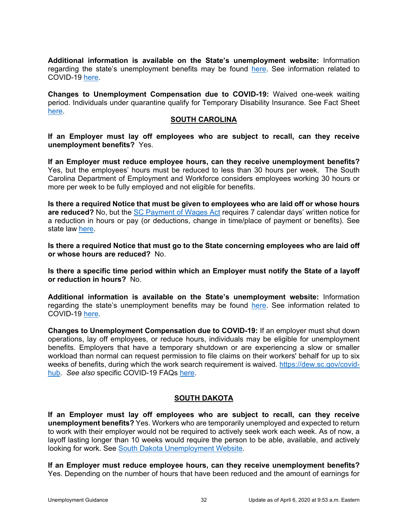**Additional information is available on the State's unemployment website:** Information regarding the state's unemployment benefits may be found [here.](http://www.dlt.ri.gov/ui/EmployerInfoUI.htm) See information related to COVID-19 [here.](http://www.dlt.ri.gov/pdfs/COVID-19%20Workplace%20Fact%20Sheet.pdf)

**Changes to Unemployment Compensation due to COVID-19:** Waived one-week waiting period. Individuals under quarantine qualify for Temporary Disability Insurance. See Fact Sheet [here.](http://www.dlt.ri.gov/pdfs/COVID-19%20Workplace%20Fact%20Sheet.pdf)

#### **SOUTH CAROLINA**

<span id="page-34-0"></span>**If an Employer must lay off employees who are subject to recall, can they receive unemployment benefits?** Yes.

**If an Employer must reduce employee hours, can they receive unemployment benefits?**  Yes, but the employees' hours must be reduced to less than 30 hours per week. The South Carolina Department of Employment and Workforce considers employees working 30 hours or more per week to be fully employed and not eligible for benefits.

**Is there a required Notice that must be given to employees who are laid off or whose hours are reduced?** No, but the [SC Payment of Wages Act](https://www.scstatehouse.gov/code/t41c010.php) requires 7 calendar days' written notice for a reduction in hours or pay (or deductions, change in time/place of payment or benefits). See state law [here.](https://www.scstatehouse.gov/code/t41c010.php)

**Is there a required Notice that must go to the State concerning employees who are laid off or whose hours are reduced?** No.

**Is there a specific time period within which an Employer must notify the State of a layoff or reduction in hours?** No.

**Additional information is available on the State's unemployment website:** Information regarding the state's unemployment benefits may be found [here.](https://dew.sc.gov/employers/employer) See information related to COVID-19 [here.](https://dew.sc.gov/docs/default-source/default-document-library/coronavirus-and-unemployement-benefits.pdf?sfvrsn=43a3bfd8_0)

**Changes to Unemployment Compensation due to COVID-19:** If an employer must shut down operations, lay off employees, or reduce hours, individuals may be eligible for unemployment benefits. Employers that have a temporary shutdown or are experiencing a slow or smaller workload than normal can request permission to file claims on their workers' behalf for up to six weeks of benefits, during which the work search requirement is waived. [https://dew.sc.gov/covid](https://dew.sc.gov/covid-hub)[hub.](https://dew.sc.gov/covid-hub) *See also* specific COVID-19 FAQs [here.](https://dew.sc.gov/docs/default-source/default-document-library/coronavirus-and-unemployement-benefits.pdf?sfvrsn=43a3bfd8_0)

### **SOUTH DAKOTA**

<span id="page-34-1"></span>**If an Employer must lay off employees who are subject to recall, can they receive unemployment benefits?** Yes. Workers who are temporarily unemployed and expected to return to work with their employer would not be required to actively seek work each week. As of now, a layoff lasting longer than 10 weeks would require the person to be able, available, and actively looking for work. See [South Dakota Unemployment Website.](https://dlr.sd.gov/ra/covid_19_ra_eligibility.aspx)

**If an Employer must reduce employee hours, can they receive unemployment benefits?**  Yes. Depending on the number of hours that have been reduced and the amount of earnings for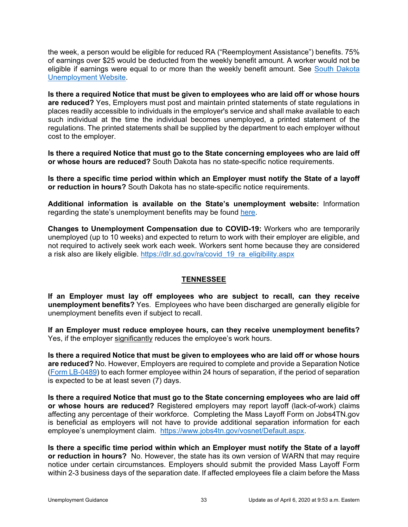the week, a person would be eligible for reduced RA ("Reemployment Assistance") benefits. 75% of earnings over \$25 would be deducted from the weekly benefit amount. A worker would not be eligible if earnings were equal to or more than the weekly benefit amount. See South Dakota [Unemployment Website.](https://dlr.sd.gov/ra/covid_19_ra_eligibility.aspx)

**Is there a required Notice that must be given to employees who are laid off or whose hours are reduced?** Yes, Employers must post and maintain printed statements of state regulations in places readily accessible to individuals in the employer's service and shall make available to each such individual at the time the individual becomes unemployed, a printed statement of the regulations. The printed statements shall be supplied by the department to each employer without cost to the employer.

**Is there a required Notice that must go to the State concerning employees who are laid off or whose hours are reduced?** South Dakota has no state-specific notice requirements.

**Is there a specific time period within which an Employer must notify the State of a layoff or reduction in hours?** South Dakota has no state-specific notice requirements.

**Additional information is available on the State's unemployment website:** Information regarding the state's unemployment benefits may be found [here.](https://dlr.sd.gov/ra/covid_19_ra_eligibility.aspx)

**Changes to Unemployment Compensation due to COVID-19:** Workers who are temporarily unemployed (up to 10 weeks) and expected to return to work with their employer are eligible, and not required to actively seek work each week. Workers sent home because they are considered a risk also are likely eligible. [https://dlr.sd.gov/ra/covid\\_19\\_ra\\_eligibility.aspx](https://dlr.sd.gov/ra/covid_19_ra_eligibility.aspx)

### **TENNESSEE**

<span id="page-35-0"></span>**If an Employer must lay off employees who are subject to recall, can they receive unemployment benefits?** Yes. Employees who have been discharged are generally eligible for unemployment benefits even if subject to recall.

**If an Employer must reduce employee hours, can they receive unemployment benefits?** Yes, if the employer significantly reduces the employee's work hours.

**Is there a required Notice that must be given to employees who are laid off or whose hours are reduced?** No. However, Employers are required to complete and provide a Separation Notice [\(Form LB-0489\)](https://www.tn.gov/content/dam/tn/workforce/documents/Forms/LB-0489.pdf) to each former employee within 24 hours of separation, if the period of separation is expected to be at least seven (7) days.

**Is there a required Notice that must go to the State concerning employees who are laid off or whose hours are reduced?** Registered employers may report layoff (lack-of-work) claims affecting any percentage of their workforce. Completing the Mass Layoff Form on Jobs4TN.gov is beneficial as employers will not have to provide additional separation information for each employee's unemployment claim. [https://www.jobs4tn.gov/vosnet/Default.aspx.](https://www.jobs4tn.gov/vosnet/Default.aspx)

**Is there a specific time period within which an Employer must notify the State of a layoff or reduction in hours?** No. However, the state has its own version of WARN that may require notice under certain circumstances. Employers should submit the provided Mass Layoff Form within 2-3 business days of the separation date. If affected employees file a claim before the Mass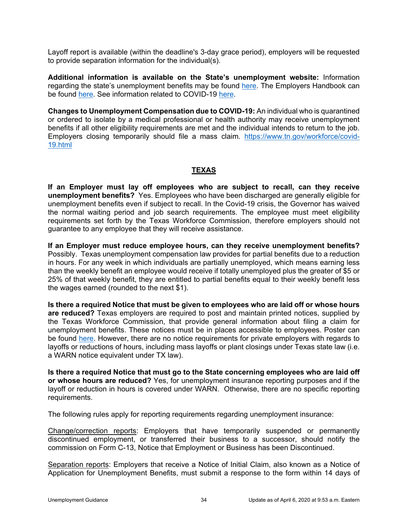Layoff report is available (within the deadline's 3-day grace period), employers will be requested to provide separation information for the individual(s).

**Additional information is available on the State's unemployment website:** Information regarding the state's unemployment benefits may be found [here.](https://www.tn.gov/workforce/employers/tax-and-insurance-redirect/unemployment-insurance-tax.html) The Employers Handbook can be found [here.](https://www.tn.gov/content/dam/tn/workforce/documents/employers/HandbookforEmployers6-13-19.pdf) See information related to COVID-19 [here.](https://www.tn.gov/workforce/covid-19.html)

**Changes to Unemployment Compensation due to COVID-19:** An individual who is quarantined or ordered to isolate by a medical professional or health authority may receive unemployment benefits if all other eligibility requirements are met and the individual intends to return to the job. Employers closing temporarily should file a mass claim. [https://www.tn.gov/workforce/covid-](https://www.tn.gov/workforce/covid-19.html)[19.html](https://www.tn.gov/workforce/covid-19.html)

### **TEXAS**

<span id="page-36-0"></span>**If an Employer must lay off employees who are subject to recall, can they receive unemployment benefits?** Yes. Employees who have been discharged are generally eligible for unemployment benefits even if subject to recall. In the Covid-19 crisis, the Governor has waived the normal waiting period and job search requirements. The employee must meet eligibility requirements set forth by the Texas Workforce Commission, therefore employers should not guarantee to any employee that they will receive assistance.

**If an Employer must reduce employee hours, can they receive unemployment benefits?**  Possibly. Texas unemployment compensation law provides for partial benefits due to a reduction in hours. For any week in which individuals are partially unemployed, which means earning less than the weekly benefit an employee would receive if totally unemployed plus the greater of \$5 or 25% of that weekly benefit, they are entitled to partial benefits equal to their weekly benefit less the wages earned (rounded to the next \$1).

**Is there a required Notice that must be given to employees who are laid off or whose hours are reduced?** Texas employers are required to post and maintain printed notices, supplied by the Texas Workforce Commission, that provide general information about filing a claim for unemployment benefits. These notices must be in places accessible to employees. Poster can be found [here.](https://twc.texas.gov/files/businesses/texas-unemployment-compensation-act-and-texas-payday-law-poster-twc.pdf) However, there are no notice requirements for private employers with regards to layoffs or reductions of hours, including mass layoffs or plant closings under Texas state law (i.e. a WARN notice equivalent under TX law).

**Is there a required Notice that must go to the State concerning employees who are laid off or whose hours are reduced?** Yes, for unemployment insurance reporting purposes and if the layoff or reduction in hours is covered under WARN. Otherwise, there are no specific reporting requirements.

The following rules apply for reporting requirements regarding unemployment insurance:

Change/correction reports: Employers that have temporarily suspended or permanently discontinued employment, or transferred their business to a successor, should notify the commission on Form C-13, Notice that Employment or Business has been Discontinued.

Separation reports: Employers that receive a Notice of Initial Claim, also known as a Notice of Application for Unemployment Benefits, must submit a response to the form within 14 days of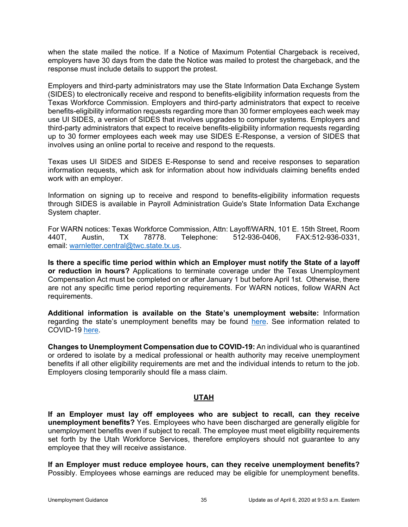when the state mailed the notice. If a Notice of Maximum Potential Chargeback is received, employers have 30 days from the date the Notice was mailed to protest the chargeback, and the response must include details to support the protest.

Employers and third-party administrators may use the State Information Data Exchange System (SIDES) to electronically receive and respond to benefits-eligibility information requests from the Texas Workforce Commission. Employers and third-party administrators that expect to receive benefits-eligibility information requests regarding more than 30 former employees each week may use UI SIDES, a version of SIDES that involves upgrades to computer systems. Employers and third-party administrators that expect to receive benefits-eligibility information requests regarding up to 30 former employees each week may use SIDES E-Response, a version of SIDES that involves using an online portal to receive and respond to the requests.

Texas uses UI SIDES and SIDES E-Response to send and receive responses to separation information requests, which ask for information about how individuals claiming benefits ended work with an employer.

Information on signing up to receive and respond to benefits-eligibility information requests through SIDES is available in Payroll Administration Guide's State Information Data Exchange System chapter.

For WARN notices: Texas Workforce Commission, Attn: Layoff/WARN, 101 E. 15th Street, Room 440T, Austin, TX 78778. Telephone: 512-936-0406, FAX:512-936-0331, email: [warnletter.central@twc.state.tx.us.](mailto:warnletter.central@twc.state.tx.us)

**Is there a specific time period within which an Employer must notify the State of a layoff or reduction in hours?** Applications to terminate coverage under the Texas Unemployment Compensation Act must be completed on or after January 1 but before April 1st. Otherwise, there are not any specific time period reporting requirements. For WARN notices, follow WARN Act requirements.

**Additional information is available on the State's unemployment website:** Information regarding the state's unemployment benefits may be found [here.](https://twc.texas.gov/businesses/employer-benefits-services) See information related to COVID-19 [here.](https://twc.texas.gov/news/covid-19-resources-employers)

**Changes to Unemployment Compensation due to COVID-19:** An individual who is quarantined or ordered to isolate by a medical professional or health authority may receive unemployment benefits if all other eligibility requirements are met and the individual intends to return to the job. Employers closing temporarily should file a mass claim.

### **UTAH**

<span id="page-37-0"></span>**If an Employer must lay off employees who are subject to recall, can they receive unemployment benefits?** Yes. Employees who have been discharged are generally eligible for unemployment benefits even if subject to recall. The employee must meet eligibility requirements set forth by the Utah Workforce Services, therefore employers should not guarantee to any employee that they will receive assistance.

**If an Employer must reduce employee hours, can they receive unemployment benefits?**  Possibly. Employees whose earnings are reduced may be eligible for unemployment benefits.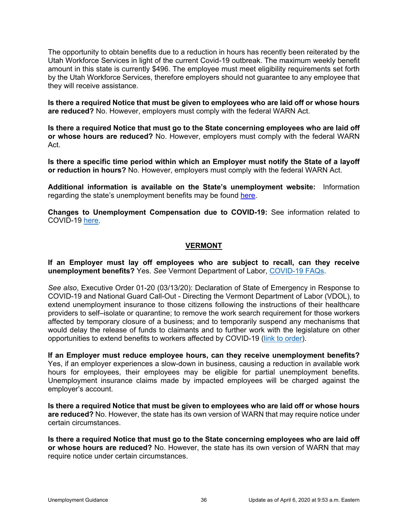The opportunity to obtain benefits due to a reduction in hours has recently been reiterated by the Utah Workforce Services in light of the current Covid-19 outbreak. The maximum weekly benefit amount in this state is currently \$496. The employee must meet eligibility requirements set forth by the Utah Workforce Services, therefore employers should not guarantee to any employee that they will receive assistance.

**Is there a required Notice that must be given to employees who are laid off or whose hours are reduced?** No. However, employers must comply with the federal WARN Act.

**Is there a required Notice that must go to the State concerning employees who are laid off or whose hours are reduced?** No. However, employers must comply with the federal WARN Act.

**Is there a specific time period within which an Employer must notify the State of a layoff or reduction in hours?** No. However, employers must comply with the federal WARN Act.

**Additional information is available on the State's unemployment website:** Information regarding the state's unemployment benefits may be found [here.](https://jobs.utah.gov/employer/index.html)

**Changes to Unemployment Compensation due to COVID-19:** See information related to COVID-19 [here.](https://jobs.utah.gov/covid19/uifaqemployers.pdf)

#### **VERMONT**

<span id="page-38-0"></span>**If an Employer must lay off employees who are subject to recall, can they receive unemployment benefits?** Yes. *See* Vermont Department of Labor, [COVID-19 FAQs.](https://labor.vermont.gov/covid19/covid-19-frequently-asked-questions)

*See also*, Executive Order 01-20 (03/13/20): Declaration of State of Emergency in Response to COVID-19 and National Guard Call-Out - Directing the Vermont Department of Labor (VDOL), to extend unemployment insurance to those citizens following the instructions of their healthcare providers to self–isolate or quarantine; to remove the work search requirement for those workers affected by temporary closure of a business; and to temporarily suspend any mechanisms that would delay the release of funds to claimants and to further work with the legislature on other opportunities to extend benefits to workers affected by COVID-19 [\(link to order\)](https://governor.vermont.gov/sites/scott/files/documents/EO%2001-20%20Declaration%20of%20State%20of%20Emergency%20in%20Response%20to%20COVID-19%20and%20National%20Guard%20Call-Out.pdf).

**If an Employer must reduce employee hours, can they receive unemployment benefits?**  Yes, if an employer experiences a slow-down in business, causing a reduction in available work hours for employees, their employees may be eligible for partial unemployment benefits. Unemployment insurance claims made by impacted employees will be charged against the employer's account.

**Is there a required Notice that must be given to employees who are laid off or whose hours are reduced?** No. However, the state has its own version of WARN that may require notice under certain circumstances.

**Is there a required Notice that must go to the State concerning employees who are laid off or whose hours are reduced?** No. However, the state has its own version of WARN that may require notice under certain circumstances.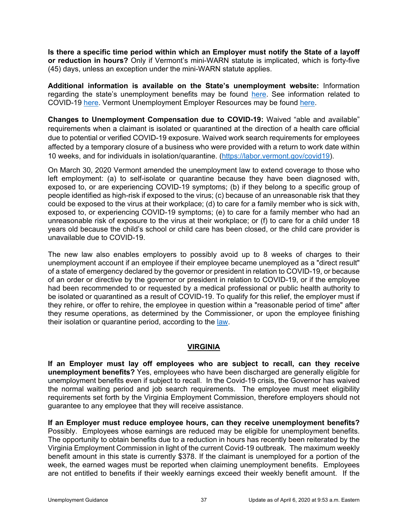**Is there a specific time period within which an Employer must notify the State of a layoff or reduction in hours?** Only if Vermont's mini-WARN statute is implicated, which is forty-five (45) days, unless an exception under the mini-WARN statute applies.

**Additional information is available on the State's unemployment website:** Information regarding the state's unemployment benefits may be found [here.](https://labor.vermont.gov/unemployment-insurance) See information related to COVID-19 [here.](https://labor.vermont.gov/covid19) Vermont Unemployment Employer Resources may be found [here.](https://labor.vermont.gov/unemployment-insurance/ui-employers)

**Changes to Unemployment Compensation due to COVID-19:** Waived "able and available" requirements when a claimant is isolated or quarantined at the direction of a health care official due to potential or verified COVID-19 exposure. Waived work search requirements for employees affected by a temporary closure of a business who were provided with a return to work date within 10 weeks, and for individuals in isolation/quarantine. [\(https://labor.vermont.gov/covid19\)](https://labor.vermont.gov/covid19).

On March 30, 2020 Vermont amended the unemployment law to extend coverage to those who left employment: (a) to self-isolate or quarantine because they have been diagnosed with, exposed to, or are experiencing COVID-19 symptoms; (b) if they belong to a specific group of people identified as high-risk if exposed to the virus; (c) because of an unreasonable risk that they could be exposed to the virus at their workplace; (d) to care for a family member who is sick with, exposed to, or experiencing COVID-19 symptoms; (e) to care for a family member who had an unreasonable risk of exposure to the virus at their workplace; or (f) to care for a child under 18 years old because the child's school or child care has been closed, or the child care provider is unavailable due to COVID-19.

The new law also enables employers to possibly avoid up to 8 weeks of charges to their unemployment account if an employee if their employee became unemployed as a "direct result" of a state of emergency declared by the governor or president in relation to COVID-19, or because of an order or directive by the governor or president in relation to COVID-19, or if the employee had been recommended to or requested by a medical professional or public health authority to be isolated or quarantined as a result of COVID-19. To qualify for this relief, the employer must if they rehire, or offer to rehire, the employee in question within a "reasonable period of time" after they resume operations, as determined by the Commissioner, or upon the employee finishing their isolation or quarantine period, according to the [law.](https://legislature.vermont.gov/Documents/2020/Docs/BILLS/H-0742/H-0742%20As%20Passed%20by%20Both%20House%20and%20Senate%20Official.pdf)

### **VIRGINIA**

<span id="page-39-0"></span>**If an Employer must lay off employees who are subject to recall, can they receive unemployment benefits?** Yes, employees who have been discharged are generally eligible for unemployment benefits even if subject to recall. In the Covid-19 crisis, the Governor has waived the normal waiting period and job search requirements. The employee must meet eligibility requirements set forth by the Virginia Employment Commission, therefore employers should not guarantee to any employee that they will receive assistance.

**If an Employer must reduce employee hours, can they receive unemployment benefits?**  Possibly. Employees whose earnings are reduced may be eligible for unemployment benefits. The opportunity to obtain benefits due to a reduction in hours has recently been reiterated by the Virginia Employment Commission in light of the current Covid-19 outbreak. The maximum weekly benefit amount in this state is currently \$378. If the claimant is unemployed for a portion of the week, the earned wages must be reported when claiming unemployment benefits. Employees are not entitled to benefits if their weekly earnings exceed their weekly benefit amount. If the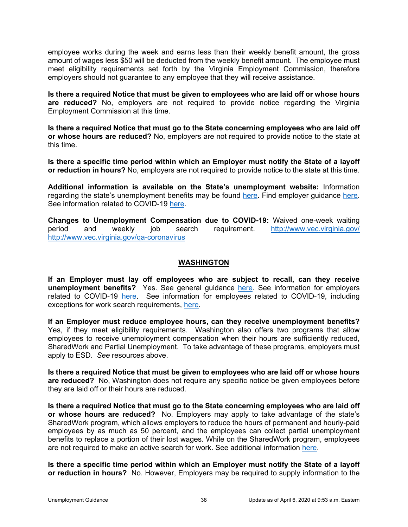employee works during the week and earns less than their weekly benefit amount, the gross amount of wages less \$50 will be deducted from the weekly benefit amount. The employee must meet eligibility requirements set forth by the Virginia Employment Commission, therefore employers should not guarantee to any employee that they will receive assistance.

**Is there a required Notice that must be given to employees who are laid off or whose hours are reduced?** No, employers are not required to provide notice regarding the Virginia Employment Commission at this time.

**Is there a required Notice that must go to the State concerning employees who are laid off or whose hours are reduced?** No, employers are not required to provide notice to the state at this time.

**Is there a specific time period within which an Employer must notify the State of a layoff or reduction in hours?** No, employers are not required to provide notice to the state at this time.

**Additional information is available on the State's unemployment website:** Information regarding the state's unemployment benefits may be found [here.](http://www.vec.virginia.gov/employers) Find employer guidance [here.](http://www.vec.virginia.gov/forms-publications#employer) See information related to COVID-19 [here.](http://www.vec.virginia.gov/qa-coronavirus)

**Changes to Unemployment Compensation due to COVID-19:** Waived one-week waiting period and weekly job search requirement. <http://www.vec.virginia.gov/> <http://www.vec.virginia.gov/qa-coronavirus>

#### **WASHINGTON**

<span id="page-40-0"></span>**If an Employer must lay off employees who are subject to recall, can they receive unemployment benefits?** Yes. See general guidance [here.](https://esd.wa.gov/unemployment) See information for employers related to COVID-19 [here.](https://esd.wa.gov/newsroom/covid-19-employer-information) See information for employees related to COVID-19, including exceptions for work search requirements, [here.](https://esd.wa.gov/newsroom/covid-19)

**If an Employer must reduce employee hours, can they receive unemployment benefits?**  Yes, if they meet eligibility requirements. Washington also offers two programs that allow employees to receive unemployment compensation when their hours are sufficiently reduced, SharedWork and Partial Unemployment. To take advantage of these programs, employers must apply to ESD. *See* resources above.

**Is there a required Notice that must be given to employees who are laid off or whose hours are reduced?** No, Washington does not require any specific notice be given employees before they are laid off or their hours are reduced.

**Is there a required Notice that must go to the State concerning employees who are laid off or whose hours are reduced?** No. Employers may apply to take advantage of the state's SharedWork program, which allows employers to reduce the hours of permanent and hourly-paid employees by as much as 50 percent, and the employees can collect partial unemployment benefits to replace a portion of their lost wages. While on the SharedWork program, employees are not required to make an active search for work. See additional information [here.](https://esd.wa.gov/SharedWork/eligibility)

**Is there a specific time period within which an Employer must notify the State of a layoff or reduction in hours?** No. However, Employers may be required to supply information to the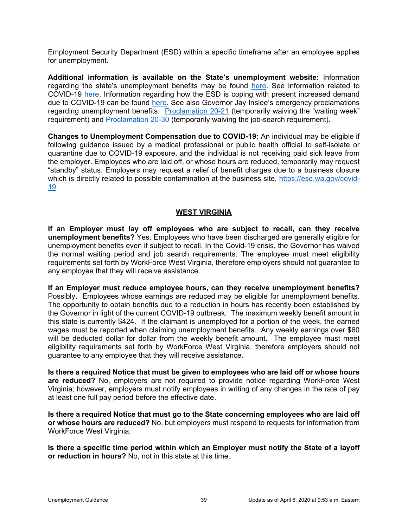Employment Security Department (ESD) within a specific timeframe after an employee applies for unemployment.

**Additional information is available on the State's unemployment website:** Information regarding the state's unemployment benefits may be found [here.](https://esd.wa.gov/about-employees) See information related to COVID-19 [here.](https://esd.wa.gov/newsroom/covid-19-employer-information) Information regarding how the ESD is coping with present increased demand due to COVID-19 can be found [here.](https://esd.wa.gov/newsroom/alerts/demand-for-agency-services) See also Governor Jay Inslee's emergency proclamations regarding unemployment benefits. [Proclamation 20-21](https://www.governor.wa.gov/sites/default/files/proclamations/20-21%20-%20COVID-19%20Unemployment%20Insurance%20Waiver%20%28tmp%29.pdf) (temporarily waiving the "waiting week" requirement) and [Proclamation 20-30](https://www.governor.wa.gov/sites/default/files/proclamations/20-30%20COVID-19%20-%20ESD-Job%20Requirements%20%28tmp%29.pdf) (temporarily waiving the job-search requirement).

**Changes to Unemployment Compensation due to COVID-19:** An individual may be eligible if following guidance issued by a medical professional or public health official to self-isolate or quarantine due to COVID-19 exposure, and the individual is not receiving paid sick leave from the employer. Employees who are laid off, or whose hours are reduced, temporarily may request "standby" status. Employers may request a relief of benefit charges due to a business closure which is directly related to possible contamination at the business site. [https://esd.wa.gov/covid-](https://esd.wa.gov/newsroom/covid-19)[19](https://esd.wa.gov/newsroom/covid-19)

### **WEST VIRGINIA**

<span id="page-41-0"></span>**If an Employer must lay off employees who are subject to recall, can they receive unemployment benefits?** Yes. Employees who have been discharged are generally eligible for unemployment benefits even if subject to recall. In the Covid-19 crisis, the Governor has waived the normal waiting period and job search requirements. The employee must meet eligibility requirements set forth by WorkForce West Virginia, therefore employers should not guarantee to any employee that they will receive assistance.

**If an Employer must reduce employee hours, can they receive unemployment benefits?**  Possibly. Employees whose earnings are reduced may be eligible for unemployment benefits. The opportunity to obtain benefits due to a reduction in hours has recently been established by the Governor in light of the current COVID-19 outbreak. The maximum weekly benefit amount in this state is currently \$424. If the claimant is unemployed for a portion of the week, the earned wages must be reported when claiming unemployment benefits. Any weekly earnings over \$60 will be deducted dollar for dollar from the weekly benefit amount. The employee must meet eligibility requirements set forth by WorkForce West Virginia, therefore employers should not guarantee to any employee that they will receive assistance.

**Is there a required Notice that must be given to employees who are laid off or whose hours are reduced?** No, employers are not required to provide notice regarding WorkForce West Virginia; however, employers must notify employees in writing of any changes in the rate of pay at least one full pay period before the effective date.

**Is there a required Notice that must go to the State concerning employees who are laid off or whose hours are reduced?** No, but employers must respond to requests for information from WorkForce West Virginia.

**Is there a specific time period within which an Employer must notify the State of a layoff or reduction in hours?** No, not in this state at this time.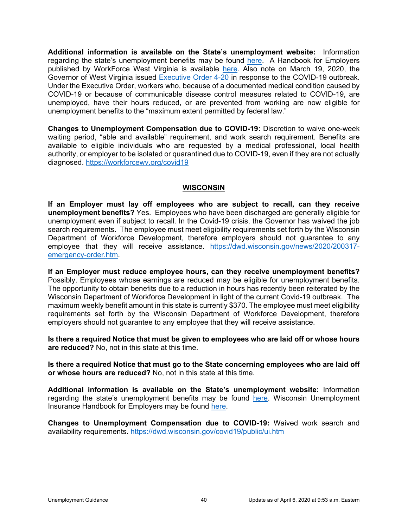**Additional information is available on the State's unemployment website:** Information regarding the state's unemployment benefits may be found [here.](https://workforcewv.org/unemployment/employers)A Handbook for Employers published by WorkForce West Virginia is available [here.](https://workforcewv.org/images/files/employers/Employer_Handbook.pdf) Also note on March 19, 2020, the Governor of West Virginia issued [Executive Order 4-20](https://workforcewv.org/covid19) in response to the COVID-19 outbreak. Under the Executive Order, workers who, because of a documented medical condition caused by COVID-19 or because of communicable disease control measures related to COVID-19, are unemployed, have their hours reduced, or are prevented from working are now eligible for unemployment benefits to the "maximum extent permitted by federal law."

**Changes to Unemployment Compensation due to COVID-19:** Discretion to waive one-week waiting period, "able and available" requirement, and work search requirement. Benefits are available to eligible individuals who are requested by a medical professional, local health authority, or employer to be isolated or quarantined due to COVID-19, even if they are not actually diagnosed.<https://workforcewv.org/covid19>

### **WISCONSIN**

<span id="page-42-0"></span>**If an Employer must lay off employees who are subject to recall, can they receive unemployment benefits?** Yes.Employees who have been discharged are generally eligible for unemployment even if subject to recall. In the Covid-19 crisis, the Governor has waived the job search requirements. The employee must meet eligibility requirements set forth by the Wisconsin Department of Workforce Development, therefore employers should not guarantee to any employee that they will receive assistance. [https://dwd.wisconsin.gov/news/2020/200317](https://dwd.wisconsin.gov/news/2020/200317-emergency-order.htm) [emergency-order.htm.](https://dwd.wisconsin.gov/news/2020/200317-emergency-order.htm)

**If an Employer must reduce employee hours, can they receive unemployment benefits?**  Possibly. Employees whose earnings are reduced may be eligible for unemployment benefits. The opportunity to obtain benefits due to a reduction in hours has recently been reiterated by the Wisconsin Department of Workforce Development in light of the current Covid-19 outbreak. The maximum weekly benefit amount in this state is currently \$370. The employee must meet eligibility requirements set forth by the Wisconsin Department of Workforce Development, therefore employers should not guarantee to any employee that they will receive assistance.

**Is there a required Notice that must be given to employees who are laid off or whose hours are reduced?** No, not in this state at this time.

**Is there a required Notice that must go to the State concerning employees who are laid off or whose hours are reduced?** No, not in this state at this time.

**Additional information is available on the State's unemployment website:** Information regarding the state's unemployment benefits may be found [here.](https://dwd.wisconsin.gov/uitax/;) Wisconsin Unemployment Insurance Handbook for Employers may be found [here.](https://dwd.wisconsin.gov/ui201/)

**Changes to Unemployment Compensation due to COVID-19:** Waived work search and availability requirements.<https://dwd.wisconsin.gov/covid19/public/ui.htm>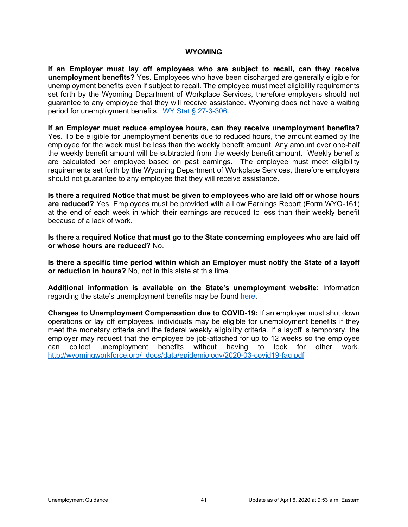#### **WYOMING**

<span id="page-43-0"></span>**If an Employer must lay off employees who are subject to recall, can they receive unemployment benefits?** Yes. Employees who have been discharged are generally eligible for unemployment benefits even if subject to recall. The employee must meet eligibility requirements set forth by the Wyoming Department of Workplace Services, therefore employers should not guarantee to any employee that they will receive assistance. Wyoming does not have a waiting period for unemployment benefits. [WY Stat § 27-3-306.](https://wyoleg.gov/NXT/gateway.dll?f=templates&fn=default.htm)

**If an Employer must reduce employee hours, can they receive unemployment benefits?**  Yes. To be eligible for unemployment benefits due to reduced hours, the amount earned by the employee for the week must be less than the weekly benefit amount. Any amount over one-half the weekly benefit amount will be subtracted from the weekly benefit amount. Weekly benefits are calculated per employee based on past earnings. The employee must meet eligibility requirements set forth by the Wyoming Department of Workplace Services, therefore employers should not guarantee to any employee that they will receive assistance.

**Is there a required Notice that must be given to employees who are laid off or whose hours are reduced?** Yes. Employees must be provided with a Low Earnings Report (Form WYO-161) at the end of each week in which their earnings are reduced to less than their weekly benefit because of a lack of work.

**Is there a required Notice that must go to the State concerning employees who are laid off or whose hours are reduced?** No.

**Is there a specific time period within which an Employer must notify the State of a layoff or reduction in hours?** No, not in this state at this time.

**Additional information is available on the State's unemployment website:** Information regarding the state's unemployment benefits may be found [here.](http://wyomingworkforce.org/businesses/ui/)

**Changes to Unemployment Compensation due to COVID-19:** If an employer must shut down operations or lay off employees, individuals may be eligible for unemployment benefits if they meet the monetary criteria and the federal weekly eligibility criteria. If a layoff is temporary, the employer may request that the employee be job-attached for up to 12 weeks so the employee can collect unemployment benefits without having to look for other work. [http://wyomingworkforce.org/\\_docs/data/epidemiology/2020-03-covid19-faq.pdf](http://wyomingworkforce.org/_docs/data/epidemiology/2020-03-covid19-faq.pdf)